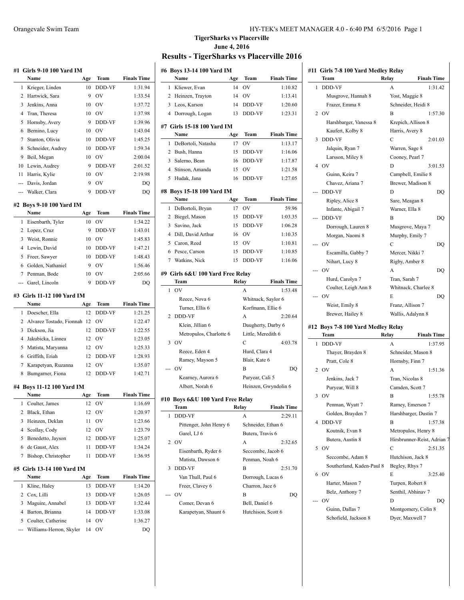|        | #1   Girls 9-10 100 Yard IM      |           |                          |                    |
|--------|----------------------------------|-----------|--------------------------|--------------------|
|        | Name                             | Age       | Team                     | <b>Finals Time</b> |
| 1      | Krieger, Linden                  | 10        | <b>DDD-VF</b>            | 1:31.94            |
| 2      | Hartwick, Sara                   | 9         | OV                       | 1:33.54            |
| 3      | Jenkins, Anna                    | 10        | OV                       | 1:37.72            |
| 4      | Tran, Theresa                    | 10        | <b>OV</b>                | 1:37.98            |
| 5      | Hornsby, Avery                   | 9         | DDD-VF                   | 1:39.96            |
| 6      | Bernino, Lucy                    | 10        | <b>OV</b>                | 1:43.04            |
| 7      | Stanton, Olivia                  | 10        | DDD-VF                   | 1:45.25            |
| 8      | Schneider, Audrey                | 10        | DDD-VF                   | 1:59.34            |
| 9      | Beil, Megan                      | 10        | OV                       | 2:00.04            |
| 10     | Lewin, Audrey                    | 9         | DDD-VF                   | 2:01.52            |
| 11     | Harris, Kylie                    | 10        | OV                       | 2:19.98            |
| ---    | Davis, Jordan                    | 9         | OV                       | DO                 |
|        | Walker, Clara                    | 9         | DDD-VF                   | DQ                 |
|        |                                  |           |                          |                    |
|        | #2 Boys 9-10 100 Yard IM<br>Name |           | Team                     | <b>Finals Time</b> |
| 1      | Eisenbarth, Tyler                | Age<br>10 | OV                       | 1:34.22            |
| 2      |                                  | 9         |                          |                    |
|        | Lopez, Cruz<br>Weist, Ronnie     |           | DDD-VF<br>O <sub>V</sub> | 1:43.01            |
| 3<br>4 | Lewin, David                     | 10<br>10  | DDD-VF                   | 1:45.83<br>1:47.21 |
|        | Freer, Sawyer                    |           | <b>DDD-VF</b>            |                    |
| 5      | Golden. Nathaniel                | 10        | OV                       | 1:48.43<br>1:56.46 |
| 6<br>7 |                                  | 9         | OV                       |                    |
|        | Penman, Bode                     | 10        |                          | 2:05.66            |
| ---    | Garel, Lincoln                   | 9         | <b>DDD-VF</b>            | DO                 |
|        | #3 Girls 11-12 100 Yard IM       |           |                          |                    |
|        | Name                             | Age       | Team                     | <b>Finals Time</b> |
| 1      | Doescher, Ella                   | 12        | DDD-VF                   | 1:21.25            |
| 2      | Alvarez Tostado, Fionnah         | 12        | OV                       | 1:22.47            |
| 3      | Dickson, Jia                     | 12        | DDD-VF                   | 1:22.55            |
| 4      | Jakubicka, Linnea                | 12        | <b>OV</b>                | 1:23.05            |
| 5      | Matista, Maryanna                | 12        | <b>OV</b>                | 1:25.33            |
| 6      | Griffith, Eriah                  | 12        | DDD-VF                   | 1:28.93            |
| 7      | Karapetyan, Ruzanna              | 12        | OV                       | 1:35.07            |
| 8      | Bumgarner, Fiona                 | 12        | <b>DDD-VF</b>            | 1:42.71            |
|        | #4 Boys 11-12 100 Yard IM        |           |                          |                    |
|        | Name                             | Age       | Team                     | <b>Finals Time</b> |
| 1      | Coulter, James                   | 12        | OV                       | 1:16.69            |
| 2      | Black, Ethan                     | 12        | OV                       | 1:20.97            |
| 3      | Heinzen, Deklan                  | 11        | OV                       | 1:23.66            |
| 4      | Scollay, Cody                    | 12        | OV                       | 1:23.79            |
| 5      | Benedetto, Jayson                | 12        | DDD-VF                   | 1:25.07            |
| 6      | de Gaust, Alex                   | 11        | DDD-VF                   | 1:34.24            |
| 7      | Bishop, Christopher              | 11        | DDD-VF                   | 1:36.95            |
|        | #5 Girls 13-14 100 Yard IM       |           |                          |                    |
|        | Name                             | Age       | Team                     | <b>Finals Time</b> |
|        | Kline, Haley                     | 13        | DDD-VF                   | 1:14.20            |
| 1      |                                  |           |                          |                    |
| 2      | Cox, Lilli                       | 13        | DDD-VF                   | 1:26.05            |
| 3      | Maguire, Annabel                 | 13        | DDD-VF                   | 1:32.44            |
| 4      | Barton, Brianna                  | 14        | DDD-VF                   | 1:33.08            |
| 5      | Coulter, Catherine               | 14        | OV                       | 1:36.27            |
|        | Williams-Herron, Skyler          | 14        | OV                       | DQ                 |

# **TigerSharks vs Placerville June 4, 2016**

# **Results - TigerSharks vs Placerville 2016**

|                | #6 Boys 13-14 100 Yard IM        |         |                    |                      |
|----------------|----------------------------------|---------|--------------------|----------------------|
|                | Name                             | Age     | Team               | <b>Finals Time</b>   |
| 1              | Kliewer, Evan                    | 14      | OV                 | 1:10.82              |
| 2              | Heinzen, Trayton                 | 14      | OV                 | 1:13.41              |
| 3              | Leos, Karson                     | 14      | DDD-VF             | 1:20.60              |
| $\overline{4}$ | Dorrough, Logan                  | 13      | DDD-VF             | 1:23.31              |
|                | #7 Girls 15-18 100 Yard IM       |         |                    |                      |
|                | Name                             | Age     | Team               | <b>Finals Time</b>   |
| 1              | DeBortoli, Natasha               | 17      | OV                 | 1:13.17              |
| 2              | Bush, Hanna                      | 15      | DDD-VF             | 1:16.06              |
| 3              | Salerno, Bean                    | 16      | DDD-VF             | 1:17.87              |
| $\overline{4}$ | Stinson, Amanda                  | $15-15$ | OV                 | 1:21.58              |
| 5              | Hudak, Jana                      | 16      | DDD-VF             | 1:27.05              |
|                | #8 Boys 15-18 100 Yard IM        |         |                    |                      |
|                | Name                             | Age     | Team               | <b>Finals Time</b>   |
| 1              | DeBortoli, Bryan                 | 17      | OV                 | 59.96                |
| 2              | Biegel, Mason                    | 15      | DDD-VF             | 1:03.35              |
| 3              | Savino, Jack                     | 15      | DDD-VF             | 1:06.28              |
|                | 4 Dill, David Arthur             | 16      | OV                 | 1:10.35              |
| 5              | Caron, Reed                      | 15      | <b>OV</b>          | 1:10.81              |
| 6              | Pesce, Carson                    | 15      | DDD-VF             | 1:10.85              |
|                | 7 Watkins, Nick                  | 15      | DDD-VF             | 1:16.06              |
|                | #9 Girls 6&U 100 Yard Free Relay |         |                    |                      |
|                | Team                             | Relay   |                    | <b>Finals Time</b>   |
| 1              | OV                               |         | A                  | 1:53.48              |
|                | Reece, Nova 6                    |         | Whitnack, Saylor 6 |                      |
|                | Turner, Ellis 6                  |         | Korfmann, Ellie 6  |                      |
| 2              | DDD-VF                           |         | A                  | 2:20.64              |
|                | Klein, Jillian 6                 |         | Daugherty, Darby 6 |                      |
|                | Metropulos, Charlotte 6          |         | Little, Meredith 6 |                      |
| 3              | OV                               |         | C                  | 4:03.78              |
|                | Reece, Eden 4                    |         | Hurd, Clara 4      |                      |
|                | Ramey, Mayson 5                  |         | Blair, Kate 6      |                      |
|                | OV                               |         | B                  | DQ                   |
|                | Kearney, Aurora 6                |         | Puryear, Cali 5    |                      |
|                | Albert, Norah 6                  |         |                    | Heinzen, Gwyndolin 6 |
|                | #10 Boys 6&U 100 Yard Free Relay |         |                    |                      |
|                | leam                             | Kelay   |                    | Finals Time          |
| 1              | DDD-VF                           |         | А                  | 2:29.11              |
|                | Pittenger, John Henry 6          |         | Schneider, Ethan 6 |                      |
|                | Garel, LJ 6                      |         | Butera, Travis 6   |                      |
| 2              | OV                               |         | А                  | 2:32.65              |
|                | Eisenbarth, Ryder 6              |         | Seccombe, Jacob 6  |                      |
|                | Matista, Dawson 6                |         | Penman, Noah 6     |                      |
| 3              | <b>DDD-VF</b>                    |         | В                  | 2:51.70              |
|                | Van Thull, Paul 6                |         | Dorrough, Lucas 6  |                      |
|                | Freer, Clavey 6                  |         | Charron, Jace 6    |                      |
|                | OV                               |         | B                  | DQ                   |
|                | Comer, Devan 6                   |         | Bell, Daniel 6     |                      |
|                | Karapetyan, Shaunt 6             |         | Hutchison, Scott 6 |                      |

|   | Team                                       | Relay<br><b>Finals Time</b>            |
|---|--------------------------------------------|----------------------------------------|
| 1 | <b>DDD-VF</b>                              | 1:31.42<br>A                           |
|   | Musgrove, Hannah 8                         | Yost, Maggie 8                         |
|   | Frazer, Emma 8                             | Schneider, Heidi 8                     |
|   | 2 OV                                       | B<br>1:57.30                           |
|   | Harshbarger, Vanessa 8                     | Krepich, Allison 8                     |
|   | Kaufert, Kolby 8                           | Harris, Avery 8                        |
| 3 | <b>DDD-VF</b>                              | C<br>2:01.03                           |
|   | Jalquin, Ryan 7                            | Warren, Sage 8                         |
|   | Larsson, Miley 8                           | Cooney, Pearl 7                        |
| 4 | <b>OV</b>                                  | D<br>3:01.53                           |
|   | Guinn, Keira 7                             | Campbell, Emilie 8                     |
|   | Chavez, Ariana 7                           | Brewer, Madison 8                      |
|   | <b>DDD-VF</b>                              | D<br>DQ                                |
|   | Ripley, Alice 8                            | Sare, Meagan 8                         |
|   | Infante, Abigail 7                         | Warner, Ella 8                         |
|   | <b>DDD-VF</b>                              | B<br>DQ                                |
|   | Dorrough, Lauren 8                         | Musgrove, Maya 7                       |
|   | Morgan, Naomi 8                            | Murphy, Emily 7                        |
|   | OV                                         | С<br>DQ                                |
|   | Escamilla, Gabby 7                         | Mercer, Nikki 7                        |
|   | Nihart, Lucy 8                             | Rigby, Amber 8                         |
|   | OV                                         | А<br>DO                                |
|   | Hurd, Carolyn 7                            | Tran, Sarah 7                          |
|   | Coulter, Leigh Ann 8                       | Whitnack, Charlee 8                    |
|   |                                            |                                        |
|   |                                            |                                        |
|   | OV                                         | E<br>DO                                |
|   | Weist, Emily 8                             | Franz, Allison 7                       |
|   | Brewer, Hailey 8                           | Wallis, Adalynn 8                      |
|   | #12 Boys 7-8 100 Yard Medley Relay<br>Team | Relay<br><b>Finals Time</b>            |
| 1 | <b>DDD-VF</b>                              | 1:37.95<br>A                           |
|   | Thayer, Brayden 8                          | Schneider, Mason 8                     |
|   | Pratt, Cole 8                              | Hornsby, Finn 7                        |
| 2 | O <sub>V</sub>                             | A<br>1:51.36                           |
|   | Jenkins, Jack 7                            | Tran, Nicolas 8                        |
|   |                                            | Camden, Scott 7                        |
| 3 | Puryear, Will 8<br>OV                      | 1:55.78<br>В                           |
|   |                                            |                                        |
|   | Penman, Wyatt 7                            | Ramey, Emerson 7                       |
| 4 | Golden, Brayden 7                          | Harshbarger, Dustin 7                  |
|   | DDD-VF                                     | 1:57.38<br>B                           |
|   | Koutnik, Evan 8                            | Metropulos, Henry 8                    |
|   | Butera, Austin 8                           |                                        |
| 5 | <b>OV</b>                                  | C<br>2:51.35                           |
|   | Seccombe, Adam 8                           | Hutchison, Jack 8                      |
|   | Southerland, Kaden-Paul 8                  | Begley, Rhys 7                         |
| 6 | OV                                         | E<br>3:25.40                           |
|   | Harter, Mason 7                            | Turpen, Robert 8                       |
|   | Belz, Anthony 7                            | Senthil, Abhinav 7                     |
|   | OV                                         | Hirsbrunner-Reist, Adrian 7<br>D<br>DO |
|   | Guinn, Dallas 7<br>Schofield, Jackson 8    | Montgomery, Colin 8<br>Dyer, Maxwell 7 |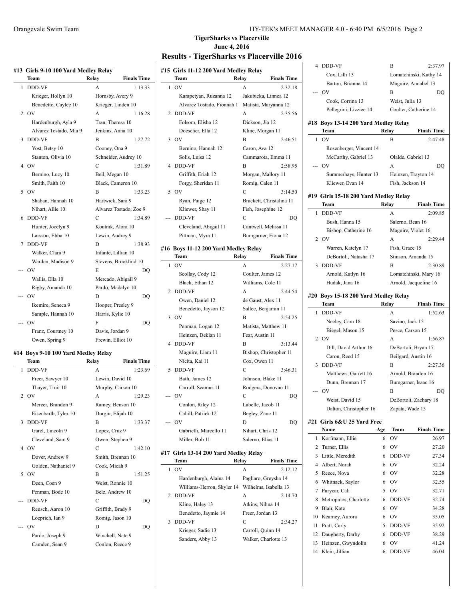|  |  |  |  |  | #13 Girls 9-10 100 Yard Medley Relay |  |
|--|--|--|--|--|--------------------------------------|--|
|--|--|--|--|--|--------------------------------------|--|

| 1<br><b>DDD-VF</b><br>1:13.33<br>A<br>Krieger, Hollyn 10<br>Hornsby, Avery 9<br>Benedetto, Caylee 10<br>Krieger, Linden 10<br>O <sub>V</sub><br>A<br>1:16.28<br>2<br>Hardenburgh, Ayla 9<br>Tran, Theresa 10<br>Alvarez Tostado, Mia 9<br>Jenkins, Anna 10<br><b>DDD-VF</b><br>3<br>1:27.72<br>В<br>Yost, Betsy 10<br>Cooney, Ona 9<br>Stanton, Olivia 10<br>Schneider, Audrey 10<br>O <sub>V</sub><br>C<br>4<br>1:31.89<br>Bernino, Lucy 10<br>Beil, Megan 10<br>Smith, Faith 10<br>Black, Cameron 10<br>5<br>O <sub>V</sub><br>B<br>1:33.23<br>Shaban, Hannah 10<br>Hartwick, Sara 9<br>Nihart, Allie 10<br>Alvarez Tostado, Zoe 9<br>DDD-VF<br>6<br>С<br>1:34.89<br>Hunter, Jocelyn 9<br>Koutnik, Alora 10<br>Larsson, Ebba 10<br>Lewin, Audrey 9<br><b>DDD-VF</b><br>7<br>D<br>1:38.93<br>Walker, Clara 9<br>Infante, Lillian 10<br>Warden, Madison 9<br>Stevens, Brooklind 10<br>OV<br>E<br>DO<br>Wallis, Ella 10<br>Mercado, Abigail 9<br>Rigby, Amanda 10<br>Pardo, Madalyn 10<br>OV<br>D<br>DQ<br>Ikemire, Seneca 9<br>Hooper, Presley 9<br>Sample, Hannah 10<br>Harris, Kylie 10<br>OV<br>F<br>DQ<br>Davis, Jordan 9<br>Franz, Courtney 10<br>Frewin, Elliot 10<br>Owen, Spring 9 | Team | Relay | <b>Finals Time</b> |
|--------------------------------------------------------------------------------------------------------------------------------------------------------------------------------------------------------------------------------------------------------------------------------------------------------------------------------------------------------------------------------------------------------------------------------------------------------------------------------------------------------------------------------------------------------------------------------------------------------------------------------------------------------------------------------------------------------------------------------------------------------------------------------------------------------------------------------------------------------------------------------------------------------------------------------------------------------------------------------------------------------------------------------------------------------------------------------------------------------------------------------------------------------------------------------------------|------|-------|--------------------|
|                                                                                                                                                                                                                                                                                                                                                                                                                                                                                                                                                                                                                                                                                                                                                                                                                                                                                                                                                                                                                                                                                                                                                                                            |      |       |                    |
|                                                                                                                                                                                                                                                                                                                                                                                                                                                                                                                                                                                                                                                                                                                                                                                                                                                                                                                                                                                                                                                                                                                                                                                            |      |       |                    |
|                                                                                                                                                                                                                                                                                                                                                                                                                                                                                                                                                                                                                                                                                                                                                                                                                                                                                                                                                                                                                                                                                                                                                                                            |      |       |                    |
|                                                                                                                                                                                                                                                                                                                                                                                                                                                                                                                                                                                                                                                                                                                                                                                                                                                                                                                                                                                                                                                                                                                                                                                            |      |       |                    |
|                                                                                                                                                                                                                                                                                                                                                                                                                                                                                                                                                                                                                                                                                                                                                                                                                                                                                                                                                                                                                                                                                                                                                                                            |      |       |                    |
|                                                                                                                                                                                                                                                                                                                                                                                                                                                                                                                                                                                                                                                                                                                                                                                                                                                                                                                                                                                                                                                                                                                                                                                            |      |       |                    |
|                                                                                                                                                                                                                                                                                                                                                                                                                                                                                                                                                                                                                                                                                                                                                                                                                                                                                                                                                                                                                                                                                                                                                                                            |      |       |                    |
|                                                                                                                                                                                                                                                                                                                                                                                                                                                                                                                                                                                                                                                                                                                                                                                                                                                                                                                                                                                                                                                                                                                                                                                            |      |       |                    |
|                                                                                                                                                                                                                                                                                                                                                                                                                                                                                                                                                                                                                                                                                                                                                                                                                                                                                                                                                                                                                                                                                                                                                                                            |      |       |                    |
|                                                                                                                                                                                                                                                                                                                                                                                                                                                                                                                                                                                                                                                                                                                                                                                                                                                                                                                                                                                                                                                                                                                                                                                            |      |       |                    |
|                                                                                                                                                                                                                                                                                                                                                                                                                                                                                                                                                                                                                                                                                                                                                                                                                                                                                                                                                                                                                                                                                                                                                                                            |      |       |                    |
|                                                                                                                                                                                                                                                                                                                                                                                                                                                                                                                                                                                                                                                                                                                                                                                                                                                                                                                                                                                                                                                                                                                                                                                            |      |       |                    |
|                                                                                                                                                                                                                                                                                                                                                                                                                                                                                                                                                                                                                                                                                                                                                                                                                                                                                                                                                                                                                                                                                                                                                                                            |      |       |                    |
|                                                                                                                                                                                                                                                                                                                                                                                                                                                                                                                                                                                                                                                                                                                                                                                                                                                                                                                                                                                                                                                                                                                                                                                            |      |       |                    |
|                                                                                                                                                                                                                                                                                                                                                                                                                                                                                                                                                                                                                                                                                                                                                                                                                                                                                                                                                                                                                                                                                                                                                                                            |      |       |                    |
|                                                                                                                                                                                                                                                                                                                                                                                                                                                                                                                                                                                                                                                                                                                                                                                                                                                                                                                                                                                                                                                                                                                                                                                            |      |       |                    |
|                                                                                                                                                                                                                                                                                                                                                                                                                                                                                                                                                                                                                                                                                                                                                                                                                                                                                                                                                                                                                                                                                                                                                                                            |      |       |                    |
|                                                                                                                                                                                                                                                                                                                                                                                                                                                                                                                                                                                                                                                                                                                                                                                                                                                                                                                                                                                                                                                                                                                                                                                            |      |       |                    |
|                                                                                                                                                                                                                                                                                                                                                                                                                                                                                                                                                                                                                                                                                                                                                                                                                                                                                                                                                                                                                                                                                                                                                                                            |      |       |                    |
|                                                                                                                                                                                                                                                                                                                                                                                                                                                                                                                                                                                                                                                                                                                                                                                                                                                                                                                                                                                                                                                                                                                                                                                            |      |       |                    |
|                                                                                                                                                                                                                                                                                                                                                                                                                                                                                                                                                                                                                                                                                                                                                                                                                                                                                                                                                                                                                                                                                                                                                                                            |      |       |                    |
|                                                                                                                                                                                                                                                                                                                                                                                                                                                                                                                                                                                                                                                                                                                                                                                                                                                                                                                                                                                                                                                                                                                                                                                            |      |       |                    |
|                                                                                                                                                                                                                                                                                                                                                                                                                                                                                                                                                                                                                                                                                                                                                                                                                                                                                                                                                                                                                                                                                                                                                                                            |      |       |                    |
|                                                                                                                                                                                                                                                                                                                                                                                                                                                                                                                                                                                                                                                                                                                                                                                                                                                                                                                                                                                                                                                                                                                                                                                            |      |       |                    |
|                                                                                                                                                                                                                                                                                                                                                                                                                                                                                                                                                                                                                                                                                                                                                                                                                                                                                                                                                                                                                                                                                                                                                                                            |      |       |                    |
|                                                                                                                                                                                                                                                                                                                                                                                                                                                                                                                                                                                                                                                                                                                                                                                                                                                                                                                                                                                                                                                                                                                                                                                            |      |       |                    |
|                                                                                                                                                                                                                                                                                                                                                                                                                                                                                                                                                                                                                                                                                                                                                                                                                                                                                                                                                                                                                                                                                                                                                                                            |      |       |                    |
|                                                                                                                                                                                                                                                                                                                                                                                                                                                                                                                                                                                                                                                                                                                                                                                                                                                                                                                                                                                                                                                                                                                                                                                            |      |       |                    |
|                                                                                                                                                                                                                                                                                                                                                                                                                                                                                                                                                                                                                                                                                                                                                                                                                                                                                                                                                                                                                                                                                                                                                                                            |      |       |                    |
|                                                                                                                                                                                                                                                                                                                                                                                                                                                                                                                                                                                                                                                                                                                                                                                                                                                                                                                                                                                                                                                                                                                                                                                            |      |       |                    |

### **#14 Boys 9-10 100 Yard Medley Relay**

|   | Team                 | Relay             | <b>Finals Time</b> |
|---|----------------------|-------------------|--------------------|
| 1 | <b>DDD-VF</b>        | A                 | 1:23.69            |
|   | Freer, Sawyer 10     | Lewin, David 10   |                    |
|   | Thayer, Truit 10     | Murphy, Carson 10 |                    |
|   | 2 OV                 | A                 | 1:29.23            |
|   | Mercer, Brandon 9    | Ramey, Benson 10  |                    |
|   | Eisenbarth, Tyler 10 | Durgin, Elijah 10 |                    |
| 3 | <b>DDD-VF</b>        | B                 | 1:33.37            |
|   | Garel, Lincoln 9     | Lopez, Cruz 9     |                    |
|   | Cleveland, Sam 9     | Owen, Stephen 9   |                    |
| 4 | O <sub>V</sub>       | C                 | 1:42.10            |
|   | Dover, Andrew 9      | Smith, Brennan 10 |                    |
|   | Golden, Nathaniel 9  | Cook, Micah 9     |                    |
| 5 | O <sub>V</sub>       | B                 | 1:51.25            |
|   | Deen, Coen 9         | Weist, Ronnie 10  |                    |
|   | Penman, Bode 10      | Belz, Andrew 10   |                    |
|   | <b>DDD-VF</b>        | C                 | DO                 |
|   | Reusch, Aaron 10     | Griffith, Brady 9 |                    |
|   | Loeprich, Ian 9      | Romig, Jason 10   |                    |
|   | OV                   | D                 | DO                 |
|   | Pardo, Joseph 9      | Winchell, Nate 9  |                    |
|   | Camden, Sean 9       | Conlon, Reece 9   |                    |
|   |                      |                   |                    |

### **TigerSharks vs Placerville June 4, 2016**

# **Results - TigerSharks vs Placerville 2016**

|   | #15 Girls 11-12 200 Yard Medley Relay<br>Team<br>Relay<br><b>Finals Time</b> |       |                          |  |
|---|------------------------------------------------------------------------------|-------|--------------------------|--|
|   | OV                                                                           |       |                          |  |
| 1 |                                                                              | A     | 2:32.18                  |  |
|   | Karapetyan, Ruzanna 12                                                       |       | Jakubicka, Linnea 12     |  |
|   | Alvarez Tostado, Fionnah 1                                                   |       | Matista, Maryanna 12     |  |
| 2 | DDD-VF                                                                       | A     | 2:35.56                  |  |
|   | Folsom, Elisha 12                                                            |       | Dickson, Jia 12          |  |
|   | Doescher, Ella 12                                                            |       | Kline, Morgan 11         |  |
| 3 | OV                                                                           | В     | 2:46.51                  |  |
|   | Bernino, Hannah 12                                                           |       | Caron, Ava 12            |  |
|   | Solis, Luisa 12                                                              |       | Cammarota, Emma 11       |  |
| 4 | DDD-VF                                                                       | В     | 2:58.95                  |  |
|   | Griffith, Eriah 12                                                           |       | Morgan, Mallory 11       |  |
|   | Forgy, Sheridan 11                                                           |       | Romig, Calen 11          |  |
| 5 | <b>OV</b>                                                                    | С     | 3:14.50                  |  |
|   | Ryan, Paige 12                                                               |       | Brackett, Christalina 11 |  |
|   | Kliewer, Shay 11                                                             |       | Fish, Josephine 12       |  |
|   | DDD-VF                                                                       | C     | DQ                       |  |
|   | Cleveland, Abigail 11                                                        |       | Cantwell, Melissa 11     |  |
|   | Pittman, Myra 11                                                             |       | Bumgarner, Fiona 12      |  |
|   | #16 Boys 11-12 200 Yard Medley Relay                                         |       |                          |  |
|   | Team                                                                         | Relay | <b>Finals Time</b>       |  |
| 1 | OV                                                                           | A     | 2:27.17                  |  |
|   | Scollay, Cody 12                                                             |       | Coulter, James 12        |  |
|   | Black, Ethan 12                                                              |       | Williams, Cole 11        |  |
| 2 | DDD-VF                                                                       | A     | 2:44.54                  |  |
|   | Owen, Daniel 12                                                              |       | de Gaust, Alex 11        |  |
|   | Benedetto, Jayson 12                                                         |       | Sallee, Benjamin 11      |  |
| 3 | OV                                                                           | В     | 2:54.25                  |  |
|   | Penman, Logan 12                                                             |       | Matista, Matthew 11      |  |
|   | Heinzen, Deklan 11                                                           |       | Fear, Austin 11          |  |
| 4 | DDD-VF                                                                       | В     | 3:13.44                  |  |
|   | Maguire, Liam 11                                                             |       | Bishop, Christopher 11   |  |
|   | Nicita, Kai 11                                                               |       | Cox, Owen 11             |  |
| 5 | DDD-VF                                                                       | C     | 3:46.31                  |  |
|   | Bath, James 12                                                               |       | Johnson, Blake 11        |  |
|   | Carroll, Seamus 11                                                           |       | Rodgers, Donovan 11      |  |
|   | OV                                                                           | C     | DQ                       |  |
|   | Conlon, Riley 12                                                             |       | Labelle, Jacob 11        |  |
|   | Cahill, Patrick 12                                                           |       | Begley, Zane 11          |  |
|   | OV                                                                           | D     | DQ                       |  |
|   | Gabrielli, Marcello 11                                                       |       | Nihart, Chris 12         |  |
|   | Miller, Bob 11                                                               |       | Salerno, Elias 11        |  |
|   |                                                                              |       |                          |  |
|   | #17  Girls 13-14 200 Yard Medley Relay                                       |       |                          |  |
|   | Team                                                                         | Relay | <b>Finals Time</b>       |  |
| 1 | OV                                                                           | A     | 2:12.12                  |  |
|   | Hardenburgh, Alaina 14                                                       |       | Pagliaro, Greysha 14     |  |
|   | Williams-Herron, Skyler 14                                                   |       | Wilhelms, Isabella 13    |  |
| 2 | DDD-VF                                                                       | А     | 2:14.70                  |  |
|   | Kline, Haley 13                                                              |       | Atkins, Nihna 14         |  |
|   | Benedetto, Jaymie 14                                                         |       | Freer, Jordan 13         |  |
| 3 | DDD-VF                                                                       | С     | 2:34.27                  |  |
|   | Krieger, Sadie 13                                                            |       | Carroll, Quinn 14        |  |
|   | Sanders, Abby 13                                                             |       | Walker, Charlotte 13     |  |
|   |                                                                              |       |                          |  |

| 4        | DDD-VF                                 |          | В                     | 2:37.97                |
|----------|----------------------------------------|----------|-----------------------|------------------------|
|          | Cox, Lilli 13                          |          |                       | Lomatchinski, Kathy 14 |
|          | Barton, Brianna 14                     |          | Maguire, Annabel 13   |                        |
|          | OV                                     |          | В                     | DQ                     |
|          | Cook, Corrina 13                       |          | Weist, Julia 13       |                        |
|          | Pellegrini, Lizziee 14                 |          | Coulter, Catherine 14 |                        |
|          |                                        |          |                       |                        |
|          | #18 Boys 13-14 200 Yard Medley Relay   |          |                       |                        |
|          | Team                                   | Relay    |                       | <b>Finals Time</b>     |
| 1        | O <sub>V</sub>                         |          | B                     | 2:47.48                |
|          | Rosenberger, Vincent 14                |          |                       |                        |
|          | McCarthy, Gabriel 13                   |          | Olalde, Gabriel 13    |                        |
| ---      | OV                                     |          | A                     | DQ                     |
|          | Summerhays, Hunter 13                  |          | Heinzen, Trayton 14   |                        |
|          | Kliewer, Evan 14                       |          | Fish, Jackson 14      |                        |
|          | #19  Girls 15-18 200 Yard Medley Relay |          |                       |                        |
|          | Team                                   | Relay    |                       | <b>Finals Time</b>     |
| 1        | DDD-VF                                 |          | А                     | 2:09.85                |
|          | Bush, Hanna 15                         |          | Salerno, Bean 16      |                        |
|          | Bishop, Catherine 16                   |          | Maguire, Violet 16    |                        |
| 2        | OV                                     |          | A                     | 2:29.44                |
|          | Warren, Katelyn 17                     |          | Fish, Grace 15        |                        |
|          | DeBortoli, Natasha 17                  |          | Stinson, Amanda 15    |                        |
| 3        | DDD-VF                                 |          | B                     | 2:30.89                |
|          |                                        |          |                       |                        |
|          | Arnold, Katlyn 16                      |          |                       | Lomatchinski, Mary 16  |
|          | Hudak, Jana 16                         |          | Arnold, Jacqueline 16 |                        |
|          | #20 Boys 15-18 200 Yard Medley Relay   |          |                       |                        |
|          | Team                                   | Relay    |                       | <b>Finals Time</b>     |
| 1        | DDD-VF                                 |          | А                     | 1:52.63                |
|          |                                        |          |                       |                        |
|          | Neeley, Cam 18                         |          | Savino, Jack 15       |                        |
|          | Biegel, Mason 15                       |          | Pesce, Carson 15      |                        |
| 2        | OV                                     |          | A                     | 1:56.87                |
|          | Dill, David Arthur 16                  |          | DeBortoli, Bryan 17   |                        |
|          | Caron, Reed 15                         |          | Beilgard, Austin 16   |                        |
| 3        | DDD-VF                                 |          | B                     | 2:27.36                |
|          | Matthews, Garrett 16                   |          | Arnold, Brandon 16    |                        |
|          | Dunn, Brennan 17                       |          | Bumgarner, Isaac 16   |                        |
|          | OV                                     |          | В                     | DQ                     |
|          | Weist, David 15                        |          | DeBortoli, Zachary 18 |                        |
|          | Dalton, Christopher 16                 |          | Zapata, Wade 15       |                        |
|          |                                        |          |                       |                        |
|          | #21 Girls 6&U 25 Yard Free<br>Name     |          |                       | <b>Finals Time</b>     |
| 1        | Korfmann, Ellie                        | Age<br>6 | Team<br>OV            | 26.97                  |
| 2        | Turner, Ellis                          | 6        | OV                    | 27.20                  |
|          |                                        | 6        |                       |                        |
| 3<br>4   | Little, Meredith                       |          | DDD-VF                | 27.34                  |
|          | Albert, Norah                          | 6        | OV                    | 32.24                  |
| 5        | Reece, Nova                            | 6        | OV                    | 32.28                  |
| 6        | Whitnack, Saylor                       | 6        | OV<br>OV              | 32.55                  |
| 7        | Puryear, Cali                          | 5        |                       | 32.71                  |
| 8        | Metropulos, Charlotte                  | 6        | DDD-VF                | 32.74                  |
| 9        | Blair, Kate                            | 6        | OV                    | 34.28                  |
| 10       | Kearney, Aurora                        | 6        | OV                    | 35.05                  |
| 11       | Pratt, Carly                           | 5        | DDD-VF                | 35.92                  |
| 12       | Daugherty, Darby                       | 6        | DDD-VF                | 38.29                  |
| 13<br>14 | Heinzen, Gwyndolin<br>Klein, Jillian   | 6<br>6   | OV<br>DDD-VF          | 41.24<br>46.04         |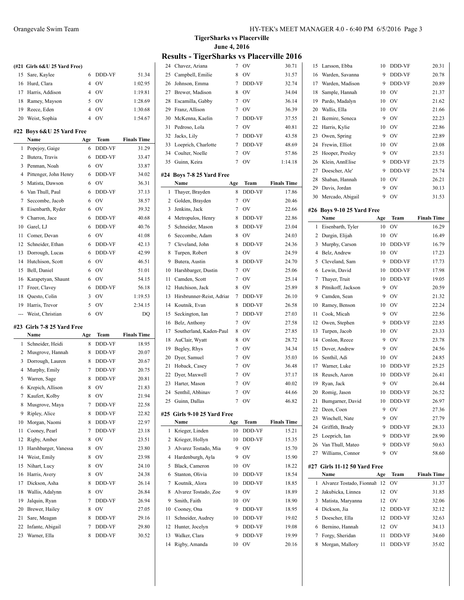|           | (#21 Girls 6&U 25 Yard Free)         |                |                |                    |
|-----------|--------------------------------------|----------------|----------------|--------------------|
| 15        | Sare, Kaylee                         | 6              | DDD-VF         | 51.34              |
| 16        | Hurd, Clara                          | 4              | O <sub>V</sub> | 1:02.95            |
| 17        | Harris, Addison                      | 4              | <b>OV</b>      | 1:19.81            |
| 18        | Ramey, Mayson                        | 5              | <b>OV</b>      | 1:28.69            |
| 19        | Reece, Eden                          | $\overline{4}$ | OV             | 1:30.68            |
| 20        | Weist, Sophia                        | 4              | OV             | 1:54.67            |
|           | #22 Boys 6&U 25 Yard Free            |                |                |                    |
|           | Name                                 | Age            | Team           | <b>Finals Time</b> |
| 1         | Popejoy, Gaige                       | 6              | DDD-VF         | 31.29              |
| 2         | Butera, Travis                       | 6              | DDD-VF         | 33.47              |
| 3         | Penman, Noah                         | 6              | OV             | 33.87              |
| 4         | Pittenger, John Henry                | 6              | DDD-VF         | 34.02              |
| 5         | Matista, Dawson                      | 6              | OV             | 36.31              |
| 6         | Van Thull, Paul                      | 6              | DDD-VF         | 37.13              |
| 7         | Seccombe, Jacob                      | 6              | OV             | 38.57              |
| 8         | Eisenbarth, Ryder                    | 6              | <b>OV</b>      | 39.32              |
| 9         | Charron, Jace                        | 6              | DDD-VF         | 40.68              |
| 10        | Garel, LJ                            | 6              | DDD-VF         | 40.76              |
| 11        | Comer, Devan                         | 6              | OV             | 41.08              |
| 12        | Schneider, Ethan                     | 6              | DDD-VF         | 42.13              |
| 13        | Dorrough, Lucas                      | 6              | DDD-VF         | 42.99              |
| 14        | Hutchison, Scott                     | 6              | OV             | 46.51              |
| 15        | Bell, Daniel                         | 6              | <b>OV</b>      | 51.01              |
| 16        | Karapetyan, Shaunt                   | 6              | OV             | 54.15              |
| 17        | Freer, Clavey                        | 6              | DDD-VF         | 56.18              |
| 18        | Questo, Colin                        | 3              | <b>OV</b>      | 1:19.53            |
|           |                                      |                |                |                    |
|           |                                      | 5              | OV             |                    |
| 19<br>--- | Harris, Trevor                       | 6              | OV             | 2:34.15            |
|           | Weist, Christian                     |                |                | DQ                 |
|           | #23 Girls 7-8 25 Yard Free<br>Name   | Age            | Team           | <b>Finals Time</b> |
| 1         | Schneider, Heidi                     | 8              | DDD-VF         | 18.95              |
| 2         | Musgrove, Hannah                     | 8              | DDD-VF         | 20.07              |
| 3         | Dorrough, Lauren                     | 8              | DDD-VF         | 20.67              |
| 4         | Murphy, Emily                        | 7              | DDD-VF         | 20.75              |
| 5         | Warren, Sage                         | 8              | DDD-VF         | 20.81              |
| 6         | Krepich, Allison                     | 8              | O <sub>V</sub> | 21.83              |
| 7         | Kaufert, Kolby                       | 8              | OV             | 21.94              |
| 8         | Musgrove, Maya                       | 7              | DDD-VF         | 22.58              |
| 9         | Ripley, Alice                        | 8              | DDD-VF         | 22.82              |
| 10        | Morgan, Naomi                        | 8              | DDD-VF         | 22.97              |
| 11        | Cooney, Pearl                        | 7              | DDD-VF         | 23.18              |
| 12        |                                      | 8              | OV             | 23.51              |
| 13        | Rigby, Amber<br>Harshbarger, Vanessa | 8              | OV             | 23.80              |
| 14        | Weist, Emily                         | 8              | OV             | 23.98              |
| 15        | Nihart, Lucy                         | 8              | OV             | 24.10              |
| 16        | Harris, Avery                        | 8              | OV             | 24.38              |
| 17        | Dickson, Asha                        | 8              | DDD-VF         | 26.14              |
| 18        | Wallis, Adalynn                      | 8              | OV             | 26.84              |
| 19        | Jalquin, Ryan                        | 7              | DDD-VF         | 26.94              |
| 20        | Brewer, Hailey                       | 8              | OV             | 27.05              |
| 21        | Sare, Meagan                         | 8              | DDD-VF         | 29.16              |
| 22        | Infante, Abigail                     | 7              | DDD-VF         | 29.80              |

**TigerSharks vs Placerville June 4, 2016**

# **Results - TigerSharks vs Placerville 2016**<br>24 Chavez Ariana 7 OV 30.71 1

| 24             | Chavez, Ariana              | 7   | OV            | 30.71              |
|----------------|-----------------------------|-----|---------------|--------------------|
| 25             | Campbell, Emilie            | 8   | OV            | 31.57              |
| 26             | Johnson, Emma               | 7   | DDD-VF        | 32.74              |
| 27             | Brewer, Madison             | 8   | OV            | 34.04              |
| 28             | Escamilla, Gabby            | 7   | OV            | 36.14              |
| 29             | Franz, Allison              | 7   | OV            | 36.39              |
| 30             | McKenna, Kaelin             | 7   | DDD-VF        | 37.55              |
| 31             | Pedroso, Lola               | 7   | OV            | 40.81              |
| 32             | Jacks, Lily                 | 7   | DDD-VF        | 43.58              |
| 33             | Loeprich, Charlotte         | 7   | DDD-VF        | 48.69              |
| 34             | Coulter, Noelle             | 7   | OV            | 57.86              |
| 35             | Guinn, Keira                | 7   | OV            | 1:14.18            |
|                |                             |     |               |                    |
| #24            | Boys 7-8 25 Yard Free       |     |               |                    |
|                | Name                        | Age | Team          | <b>Finals Time</b> |
| 1              | Thayer, Brayden             | 8   | <b>DDD-VF</b> | 17.86              |
| 2              | Golden, Brayden             | 7   | OV            | 20.46              |
| 3              | Jenkins, Jack               | 7   | OV            | 22.66              |
| $\overline{4}$ | Metropulos, Henry           | 8   | DDD-VF        | 22.86              |
| 5              | Schneider, Mason            | 8   | DDD-VF        | 23.04              |
| 6              | Seccombe, Adam              | 8   | OV            | 24.03              |
| 7              | Cleveland, John             | 8   | DDD-VF        | 24.36              |
| 8              | Turpen, Robert              | 8   | OV            | 24.59              |
| 9              | Butera, Austin              | 8   | DDD-VF        | 24.70              |
| 10             | Harshbarger, Dustin         | 7   | OV            | 25.06              |
| 11             | Camden, Scott               | 7   | OV            | 25.14              |
| 12             | Hutchison, Jack             | 8   | OV            | 25.89              |
| 13             | Hirsbrunner-Reist, Adrian   | 7   | DDD-VF        | 26.10              |
| 14             | Koutnik, Evan               | 8   | DDD-VF        | 26.58              |
| 15             | Seckington, Ian             | 7   | DDD-VF        | 27.03              |
| 16             | Belz, Anthony               | 7   | OV            | 27.58              |
| 17             | Southerland, Kaden-Paul     | 8   | OV            | 27.85              |
| 18             | AuClair, Wyatt              | 8   | OV            | 28.72              |
| 19             | Begley, Rhys                | 7   | OV            | 34.34              |
| 20             | Dver, Samuel                | 7   | OV            | 35.03              |
| 21             | Hoback, Casey               | 7   | OV            | 36.48              |
| 22             | Dyer, Maxwell               | 7   | OV            | 37.17              |
| 23             | Harter, Mason               | 7   | OV            | 40.02              |
| 24             | Senthil, Abhinav            | 7   | OV            | 44.66              |
|                | 25 Guinn, Dallas            |     | OV            | 46.82              |
|                |                             |     |               |                    |
|                | #25 Girls 9-10 25 Yard Free |     |               |                    |
|                | Name                        | Age | Team          | <b>Finals Time</b> |
| 1              | Krieger, Linden             | 10  | DDD-VF        | 15.21              |
| 2              | Krieger, Hollyn             | 10  | DDD-VF        | 15.35              |
| 3              | Alvarez Tostado, Mia        | 9   | OV            | 15.70              |
| 4              | Hardenburgh, Ayla           | 9   | OV            | 15.90              |
| 5              | Black, Cameron              | 10  | OV            | 18.22              |
| 6              | Stanton, Olivia             | 10  | DDD-VF        | 18.54              |
| 7              | Koutnik, Alora              | 10  | DDD-VF        | 18.85              |
| 8              | Alvarez Tostado, Zoe        | 9   | OV            | 18.89              |
| 9              | Smith, Faith                | 10  | OV            | 18.90              |
| 10             | Cooney, Ona                 | 9   | DDD-VF        | 18.95              |
| 11             | Schneider, Audrey           | 10  | DDD-VF        | 19.02              |
| 12             | Hunter, Jocelyn             | 9   | DDD-VF        | 19.08              |
| 13             | Walker, Clara               | 9   | DDD-VF        | 19.99              |
| 14             | Rigby, Amanda               | 10  | OV            | 20.16              |

L.

| 15 | Larsson, Ebba                | 10     | DDD-VF       | 20.31              |
|----|------------------------------|--------|--------------|--------------------|
| 16 | Warden, Savanna              | 9      | DDD-VF       | 20.78              |
| 17 | Warden, Madison              | 9      | DDD-VF       | 20.89              |
| 18 | Sample, Hannah               | 10     | OV           | 21.37              |
| 19 | Pardo, Madalyn               | 10     | OV           | 21.62              |
| 20 | Wallis, Ella                 | 10     | OV           | 21.66              |
| 21 | Ikemire, Seneca              | 9      | OV           | 22.23              |
| 22 | Harris, Kylie                | 10     | OV           | 22.86              |
| 23 | Owen, Spring                 | 9      | OV           | 22.89              |
| 24 | Frewin, Elliot               | 10     | OV           | 23.08              |
| 25 | Hooper, Presley              | 9      | OV           | 23.51              |
| 26 | Klein, AnnElise              | 9      | DDD-VF       | 23.75              |
| 27 | Doescher, Ale'               | 9      | DDD-VF       | 25.74              |
| 28 | Shaban, Hannah               | 10     | OV           | 26.21              |
|    | Davis, Jordan                | 9      |              |                    |
| 29 |                              | 9      | OV           | 30.13              |
| 30 | Mercado, Abigail             |        | OV           | 31.53              |
|    | #26 Boys 9-10 25 Yard Free   |        |              |                    |
|    | Name                         | Age    | Team         | <b>Finals Time</b> |
| 1  | Eisenbarth, Tyler            | 10     | OV           | 16.29              |
| 2  | Durgin, Elijah               | 10     | OV           | 16.49              |
| 3  | Murphy, Carson               | 10     | DDD-VF       | 16.79              |
| 4  | Belz, Andrew                 | 10     | OV           | 17.23              |
| 5  | Cleveland, Sam               | 9      | DDD-VF       | 17.73              |
| 6  | Lewin, David                 | 10     | DDD-VF       | 17.98              |
| 7  | Thayer, Truit                | 10     | DDD-VF       | 19.05              |
| 8  | Pitnikoff, Jackson           | 9      | OV           | 20.59              |
| 9  | Camden, Sean                 | 9      | OV           | 21.32              |
| 10 | Ramey, Benson                | 10     | OV           | 22.24              |
| 11 | Cook, Micah                  | 9      | OV           | 22.56              |
| 12 | Owen, Stephen                | 9      | DDD-VF       | 22.85              |
| 13 | Turpen, Jacob                | 10     | OV           | 23.33              |
| 14 | Conlon, Reece                | 9      | OV           | 23.78              |
| 15 | Dover, Andrew                | 9      | OV           | 24.56              |
| 16 | Senthil, Adi                 | 10     | OV           | 24.85              |
| 17 | Warner, Luke                 | 10     | DDD-VF       | 25.25              |
| 18 | Reusch, Aaron                | 10     | DDD-VF       | 26.41              |
| 19 | Ryan, Jack                   | 9      | OV           | 26.44              |
| 20 | Romig, Jason                 | 10     | DDD-VF       | 26.52              |
|    | 21 Bumgarner, David          | 10     | DDD-VF       | 26.97              |
| 22 | Deen, Coen                   | 9      | OV           | 27.36              |
| 23 | Winchell, Nate               | 9      | OV           | 27.79              |
| 24 | Griffith, Brady              | 9      | DDD-VF       | 28.33              |
| 25 |                              | 9      |              |                    |
|    | Loeprich, Ian                |        | DDD-VF       | 28.90              |
| 26 | Van Thull, Mateo             | 9<br>9 | DDD-VF<br>OV | 50.63<br>58.60     |
| 27 | Williams, Connor             |        |              |                    |
|    | #27 Girls 11-12 50 Yard Free |        |              |                    |
|    | Name                         | Age    | Team         | <b>Finals Time</b> |
| 1  | Alvarez Tostado, Fionnah     | 12     | OV           | 31.37              |
| 2  | Jakubicka, Linnea            | 12     | OV           | 31.85              |
| 3  | Matista, Maryanna            | 12     | OV           | 32.06              |
| 4  | Dickson, Jia                 | 12     | DDD-VF       | 32.12              |
| 5  | Doescher, Ella               | 12     | DDD-VF       | 32.63              |
| 6  | Bernino, Hannah              | 12     | OV           | 34.13              |
| 7  | Forgy, Sheridan              | 11     | DDD-VF       | 34.60              |
| 8  | Morgan, Mallory              | 11     | DDD-VF       | 35.02              |
|    |                              |        |              |                    |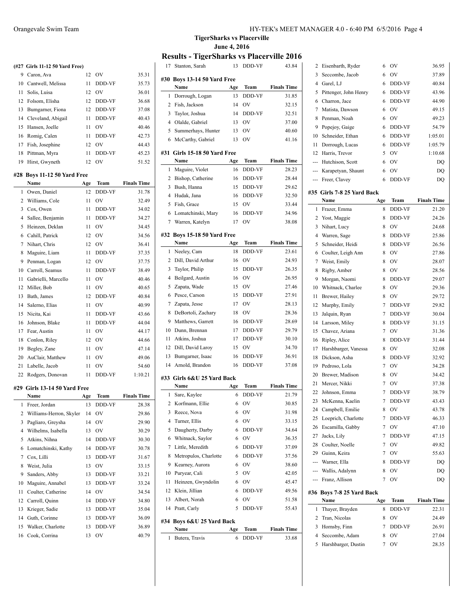|              | (#27 Girls 11-12 50 Yard Free) |     |               |                    |
|--------------|--------------------------------|-----|---------------|--------------------|
|              | 9 Caron, Ava                   | 12  | <b>OV</b>     | 35.31              |
|              | 10 Cantwell, Melissa           | 11  | DDD-VF        | 35.73              |
|              | 11 Solis, Luisa                | 12  | <b>OV</b>     | 36.01              |
| 12           | Folsom, Elisha                 | 12  | DDD-VF        | 36.68              |
| 13           | Bumgarner, Fiona               | 12  | DDD-VF        | 37.08              |
|              | 14 Cleveland, Abigail          | 11  | DDD-VF        | 40.43              |
| 15           | Hansen, Joelle                 | 11  | OV            | 40.46              |
| 16           | Romig, Calen                   | 11  | DDD-VF        | 42.73              |
|              | 17 Fish, Josephine             | 12  | OV            | 44.43              |
| 18           | Pittman, Myra                  | 11  | DDD-VF        | 45.23              |
|              | 19 Hirst, Gwyneth              | 12  | OV            | 51.52              |
|              | #28 Boys 11-12 50 Yard Free    |     |               |                    |
|              | Name                           | Age | Team          | <b>Finals Time</b> |
| $\mathbf{1}$ | Owen, Daniel                   | 12  | <b>DDD-VF</b> | 31.78              |
| 2            | Williams, Cole                 | 11  | <b>OV</b>     | 32.49              |
| 3            | Cox, Owen                      | 11  | DDD-VF        | 34.02              |
| 4            | Sallee, Benjamin               | 11  | DDD-VF        | 34.27              |
| 5            | Heinzen, Deklan                | 11  | <b>OV</b>     | 34.45              |
| 6            | Cahill, Patrick                | 12  | <b>OV</b>     | 34.56              |
| 7            | Nihart. Chris                  | 12  | <b>OV</b>     | 36.41              |
| 8            | Maguire, Liam                  | 11  | DDD-VF        | 37.35              |
| 9            | Penman, Logan                  | 12  | <b>OV</b>     | 37.75              |
| 10           | Carroll, Seamus                | 11  | DDD-VF        | 38.49              |
| 11           | Gabrielli, Marcello            | 11  | OV            | 40.46              |
| 12           | Miller, Bob                    | 11  | <b>OV</b>     | 40.65              |
| 13           | Bath, James                    | 12  | DDD-VF        | 40.84              |
| 14           | Salerno, Elias                 | 11  | OV            | 40.99              |
| 15           | Nicita, Kai                    | 11  | DDD-VF        | 43.66              |
| 16           | Johnson, Blake                 | 11  | DDD-VF        | 44.04              |
| 17           | Fear, Austin                   | 11  | OV            | 44.17              |
| 18           | Conlon, Riley                  | 12  | <b>OV</b>     | 44.66              |
| 19           | Begley, Zane                   | 11  | <b>OV</b>     | 47.14              |
| 20           | AuClair, Matthew               | 11  | <b>OV</b>     | 49.06              |
| 21           | Labelle, Jacob                 | 11  | <b>OV</b>     | 54.60              |
| 22           | Rodgers, Donovan               | 11  | DDD-VF        | 1:10.21            |
|              | #29 Girls 13-14 50 Yard Free   |     |               |                    |
|              | Name                           | Age | Team          | Finals Time        |
| 1            | Freer, Jordan                  | 13  | DDD-VF        | 28.38              |
| 2            | Williams-Herron, Skyler        | 14  | OV            | 29.86              |
| 3            | Pagliaro, Greysha              | 14  | OV            | 29.90              |
| 4            | Wilhelms, Isabella             | 13  | OV            | 30.29              |
| 5            | Atkins, Nihna                  | 14  | DDD-VF        | 30.30              |
| 6            | Lomatchinski, Kathy            | 14  | DDD-VF        | 30.78              |
| 7            | Cox, Lilli                     | 13  | DDD-VF        | 31.67              |
| 8            | Weist, Julia                   | 13  | OV            | 33.15              |
| 9            | Sanders, Abby                  | 13  | DDD-VF        | 33.21              |
| 10           | Maguire, Annabel               | 13  | DDD-VF        | 33.24              |
| 11           | Coulter, Catherine             | 14  | OV            | 34.54              |
| 12           | Carroll, Quinn                 | 14  | DDD-VF        | 34.80              |
| 13           | Krieger, Sadie                 | 13  | DDD-VF        | 35.04              |
| 14           | Guth, Corinne                  | 13  | DDD-VF        | 36.09              |

 Walker, Charlotte 13 DDD-VF 36.89 Cook, Corrina 13 OV 40.79 **TigerSharks vs Placerville June 4, 2016**

### **Results - TigerSharks vs Placerville 2016**

| 17             | Stanton, Sarah                 | 13  | DDD-VF         | 43.84              |  |  |
|----------------|--------------------------------|-----|----------------|--------------------|--|--|
|                | #30 Boys 13-14 50 Yard Free    |     |                |                    |  |  |
|                | Name                           | Age | Team           | <b>Finals Time</b> |  |  |
| 1              | Dorrough, Logan                | 13  | <b>DDD-VF</b>  | 31.85              |  |  |
| 2              | Fish, Jackson                  | 14  | OV             | 32.15              |  |  |
| 3              | Taylor, Joshua                 | 14  | DDD-VF         | 32.51              |  |  |
| $\overline{4}$ | Olalde, Gabriel                | 13  | OV             | 37.00              |  |  |
| 5              | Summerhays, Hunter             | 13  | OV             | 40.60              |  |  |
| 6              | McCarthy, Gabriel              | 13  | OV             | 41.16              |  |  |
| #31            | Girls 15-18 50 Yard Free       |     |                |                    |  |  |
|                | Name                           | Age | Team           | <b>Finals Time</b> |  |  |
| 1              | Maguire, Violet                | 16  | DDD-VF         | 28.23              |  |  |
| 2              | Bishop, Catherine              | 16  | DDD-VF         | 28.44              |  |  |
| 3              | Bush, Hanna                    | 15  | DDD-VF         | 29.62              |  |  |
| 4              | Hudak, Jana                    | 16  | DDD-VF         | 32.50              |  |  |
| 5              | Fish, Grace                    | 15  | OV             | 33.44              |  |  |
| 6              | Lomatchinski, Mary             | 16  | DDD-VF         | 34.96              |  |  |
| 7              | Warren, Katelyn                | 17  | O <sub>V</sub> | 38.08              |  |  |
|                |                                |     |                |                    |  |  |
| #32            | <b>Boys 15-18 50 Yard Free</b> |     |                |                    |  |  |
|                | Name                           | Age | Team           | <b>Finals Time</b> |  |  |
| 1              | Neeley, Cam                    | 18  | DDD-VF         | 23.61              |  |  |
| 2              | Dill, David Arthur             | 16  | OV             | 24.93              |  |  |
| 3              | Taylor, Philip                 | 15  | DDD-VF         | 26.35              |  |  |
| 4              | Beilgard, Austin               | 16  | OV             | 26.95              |  |  |
| 5              | Zapata, Wade                   | 15  | OV             | 27.46              |  |  |
| 6              | Pesce, Carson                  | 15  | <b>DDD-VF</b>  | 27.91              |  |  |
| 7              | Zapata, Jesse                  | 17  | OV             | 28.13              |  |  |
| 8              | DeBortoli, Zachary             | 18  | OV             | 28.36              |  |  |
| 9              | Matthews, Garrett              | 16  | DDD-VF         | 28.69              |  |  |
| 10             | Dunn, Brennan                  | 17  | DDD-VF         | 29.79              |  |  |
| 11             | Atkins, Joshua                 | 17  | DDD-VF         | 30.10              |  |  |
| 12             | Dill, David Laroy              | 15  | OV             | 34.70              |  |  |
| 13             | Bumgarner, Isaac               | 16  | DDD-VF         | 36.91              |  |  |
| 14             | Arnold, Brandon                | 16  | DDD-VF         | 37.08              |  |  |
|                | #33 Girls 6&U 25 Yard Back     |     |                |                    |  |  |
|                | Name                           | Age | Team           | <b>Finals Time</b> |  |  |
| 1              | Sare, Kaylee                   | 6   | DDD-VF         | 21.79              |  |  |
|                | 2 Korfmann, Ellie              |     | 6 OV           | 30.85              |  |  |
| 3              | Reece, Nova                    | 6   | OV             | 31.98              |  |  |
| 4              | Turner, Ellis                  | 6   | OV             | 33.15              |  |  |
| 5              | Daugherty, Darby               | 6   | DDD-VF         | 34.64              |  |  |
| 6              | Whitnack, Saylor               | 6   | OV             | 36.35              |  |  |
| 7              | Little, Meredith               | 6   | DDD-VF         | 37.09              |  |  |
| 8              | Metropulos, Charlotte          | 6   | DDD-VF         | 37.56              |  |  |
| 9              | Kearney, Aurora                | 6   | OV             | 38.60              |  |  |
| 10             | Puryear, Cali                  | 5   | OV             | 42.05              |  |  |
| 11             | Heinzen, Gwyndolin             | 6   | OV             | 45.47              |  |  |
| 12             | Klein, Jillian                 | 6   | DDD-VF         | 49.56              |  |  |
| 13             | Albert, Norah                  | 6   | OV             | 51.58              |  |  |
| 14             | Pratt, Carly                   | 5   | DDD-VF         | 55.43              |  |  |
|                |                                |     |                |                    |  |  |
| #34            | Boys 6&U 25 Yard Back<br>Name  | Age | Team           | <b>Finals Time</b> |  |  |
| 1              | Butera, Travis                 | 6   | DDD-VF         | 33.68              |  |  |
|                |                                |     |                |                    |  |  |

| 2          | Eisenbarth, Ryder          | 6             | OV        | 36.95              |
|------------|----------------------------|---------------|-----------|--------------------|
| 3          | Seccombe, Jacob            | 6             | OV        | 37.89              |
| 4          | Garel, LJ                  | 6             | DDD-VF    | 40.84              |
| 5          | Pittenger, John Henry      | 6             | DDD-VF    | 43.96              |
| 6          | Charron, Jace              | 6             | DDD-VF    | 44.90              |
| 7          | Matista, Dawson            | 6             | OV        | 49.15              |
| 8          | Penman, Noah               | 6             | OV        | 49.23              |
| 9          | Popejoy, Gaige             | 6             | DDD-VF    | 54.79              |
| 10         | Schneider, Ethan           | 6             | DDD-VF    | 1:05.01            |
| 11         | Dorrough, Lucas            | 6             | DDD-VF    | 1:05.79            |
| 12         | Harris, Trevor             | 5             | OV        | 1:10.68            |
|            | --- Hutchison, Scott       | 6             | OV        | DQ                 |
|            | --- Karapetyan, Shaunt     | 6             | OV        | DQ                 |
|            | --- Freer, Clavey          | 6             | DDD-VF    | DQ                 |
|            |                            |               |           |                    |
|            | #35 Girls 7-8 25 Yard Back |               |           |                    |
|            | Name                       | Age           | Team      | <b>Finals Time</b> |
| 1          | Frazer, Emma               | 8             | DDD-VF    | 21.20              |
| 2          | Yost, Maggie               | 8             | DDD-VF    | 24.26              |
| 3          | Nihart, Lucy               | 8             | OV        | 24.68              |
| 4          | Warren, Sage               | 8             | DDD-VF    | 25.86              |
| 5          | Schneider, Heidi           | 8             | DDD-VF    | 26.56              |
| 6          | Coulter, Leigh Ann         | 8             | OV        | 27.86              |
| 7          | Weist, Emily               | 8             | OV        | 28.07              |
| 8          | Rigby, Amber               | 8             | OV        | 28.56              |
| 9          | Morgan, Naomi              | 8             | DDD-VF    | 29.07              |
| 10         | Whitnack, Charlee          | 8             | <b>OV</b> | 29.36              |
| 11         | Brewer, Hailey             | 8             | OV        | 29.72              |
| 12         | Murphy, Emily              | 7             | DDD-VF    | 29.82              |
| 13         | Jalquin, Ryan              | 7             | DDD-VF    | 30.04              |
| 14         | Larsson, Miley             | 8             | DDD-VF    | 31.15              |
| 15         | Chavez, Ariana             | 7             | OV        | 31.36              |
| 16         | Ripley, Alice              | 8             | DDD-VF    | 31.44              |
| 17         | Harshbarger, Vanessa       | 8             | OV        | 32.08              |
| 18         | Dickson, Asha              | 8             | DDD-VF    | 32.92              |
| 19         | Pedroso, Lola              | 7             | OV        | 34.28              |
| 20         | Brewer, Madison            | 8             | OV        | 34.42              |
| 21         | Mercer, Nikki              | 7             | OV        | 37.38              |
| 22         | Johnson, Emma              | 7             | DDD-VF    | 38.79              |
|            | 23 McKenna, Kaelin         | $\mathcal{I}$ | DDD-VF    | 43.43              |
| 24         | Campbell, Emilie           | 8             | OV        | 43.78              |
| 25         | Loeprich, Charlotte        | 7             | DDD-VF    | 46.33              |
| 26         | Escamilla, Gabby           | 7             | OV        | 47.10              |
| 27         | Jacks, Lily                | 7             | DDD-VF    | 47.15              |
| 28         | Coulter, Noelle            | 7             | OV        | 49.82              |
| 29         | Guinn, Keira               | 7             | OV        | 55.63              |
| ---        | Warner, Ella               | 8             | DDD-VF    | DQ                 |
|            | Wallis, Adalynn            | 8             | OV        | D <sub>O</sub>     |
| ---<br>--- | Franz, Allison             | 7             | OV        | DQ                 |
|            |                            |               |           |                    |
|            | #36 Boys 7-8 25 Yard Back  |               |           |                    |
|            | Name                       | Age           | Team      | <b>Finals Time</b> |
| 1          | Thayer, Brayden            | 8             | DDD-VF    | 22.31              |
| 2          | Tran, Nicolas              | 8             | OV        | 24.49              |
| 3          | Hornsby, Finn              | 7             | DDD-VF    | 26.91              |
|            |                            |               |           |                    |
| 4          | Seccombe, Adam             | 8             | ov        | 27.04              |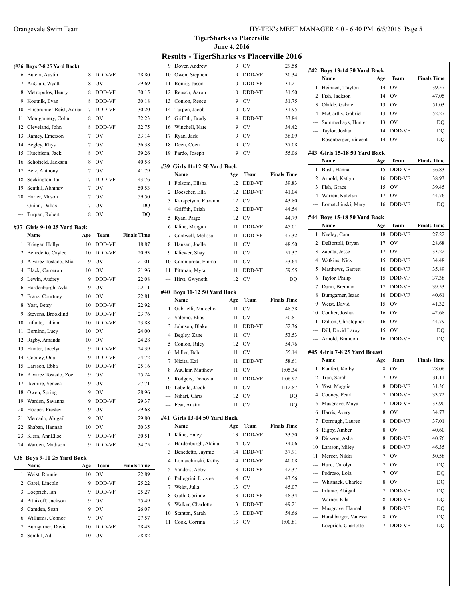|  |  |  |  |  | (#36 Boys 7-8 25 Yard Back) |
|--|--|--|--|--|-----------------------------|
|--|--|--|--|--|-----------------------------|

| 6   | Butera, Austin            | 8 | DDD-VF         | 28.80 |
|-----|---------------------------|---|----------------|-------|
| 7   | AuClair, Wyatt            | 8 | O <sub>V</sub> | 29.69 |
| 8   | Metropulos, Henry         | 8 | <b>DDD-VF</b>  | 30.15 |
| 9   | Koutnik, Evan             | 8 | DDD-VF         | 30.18 |
| 10  | Hirsbrunner-Reist, Adriar | 7 | DDD-VF         | 30.20 |
| 11  | Montgomery, Colin         | 8 | OV             | 32.23 |
| 12  | Cleveland, John           | 8 | DDD-VF         | 32.75 |
| 13  | Ramey, Emerson            | 7 | OV             | 33.14 |
| 14  | Begley, Rhys              | 7 | OV             | 36.38 |
| 15  | Hutchison, Jack           | 8 | OV             | 39.26 |
| 16  | Schofield, Jackson        | 8 | OV             | 40.58 |
| 17  | Belz, Anthony             | 7 | OV             | 41.79 |
| 18  | Seckington, Ian           | 7 | <b>DDD-VF</b>  | 43.76 |
| 19  | Senthil, Abhinav          | 7 | OV             | 50.53 |
| 20  | Harter, Mason             | 7 | OV             | 59.50 |
|     | Guinn, Dallas             | 7 | OV             | DQ    |
| --- | Turpen, Robert            | 8 | OV             | DO    |

# **#37 Girls 9-10 25 Yard Back**

|              | #37 Girls 9-10 25 Yard Back |     |                     |                    |
|--------------|-----------------------------|-----|---------------------|--------------------|
|              | Name                        | Age | Team                | <b>Finals Time</b> |
| $\mathbf{1}$ | Krieger, Hollyn             | 10  | DDD-VF              | 18.87              |
| 2            | Benedetto, Caylee           | 10  | DDD-VF              | 20.93              |
| 3            | Alvarez Tostado, Mia        | 9   | OV                  | 21.01              |
| 4            | Black, Cameron              | 10  | OV                  | 21.96              |
| 5            | Lewin, Audrey               | 9   | DDD-VF              | 22.08              |
| 6            | Hardenburgh, Ayla           | 9   | OV                  | 22.11              |
| 7            | Franz, Courtney             | 10  | OV                  | 22.81              |
| 8            | Yost, Betsy                 | 10  | DDD-VF              | 22.92              |
| 9            | Stevens, Brooklind          | 10  | DDD-VF              | 23.76              |
| 10           | Infante, Lillian            | 10  | DDD-VF              | 23.88              |
| 11           | Bernino, Lucy               | 10  | $\overline{\rm OV}$ | 24.00              |
| 12           | Rigby, Amanda               | 10  | OV                  | 24.28              |
| 13           | Hunter, Jocelyn             | 9   | DDD-VF              | 24.39              |
| 14           | Cooney, Ona                 | 9   | DDD-VF              | 24.72              |
| 15           | Larsson, Ebba               | 10  | DDD-VF              | 25.16              |
| 16           | Alvarez Tostado, Zoe        | 9   | OV                  | 25.24              |
| 17           | Ikemire, Seneca             | 9   | OV                  | 27.71              |
| 18           | Owen, Spring                | 9   | OV                  | 28.96              |
| 19           | Warden, Savanna             | 9   | <b>DDD-VF</b>       | 29.37              |
| 20           | Hooper, Presley             | 9   | OV                  | 29.68              |
| 21           | Mercado, Abigail            | 9   | OV                  | 29.80              |
| 22           | Shaban, Hannah              | 10  | OV                  | 30.35              |
| 23           | Klein, AnnElise             | 9   | DDD-VF              | 30.51              |
| 24           | Warden, Madison             | 9   | DDD-VF              | 34.75              |
|              |                             |     |                     |                    |

### **#38 Boys 9-10 25 Yard Back**

|   | Name                 | Age | Team           | <b>Finals Time</b> |
|---|----------------------|-----|----------------|--------------------|
| 1 | Weist, Ronnie        | 10  | OV             | 22.89              |
|   | 2 Garel, Lincoln     | 9   | <b>DDD-VF</b>  | 25.22              |
| 3 | Loeprich, Ian        | 9   | <b>DDD-VF</b>  | 25.27              |
|   | 4 Pitnikoff, Jackson | 9   | O <sub>V</sub> | 25.49              |
|   | 5 Camden, Sean       | 9   | O <sub>V</sub> | 26.07              |
| 6 | Williams, Connor     | 9   | OV             | 27.57              |
|   | Bumgarner, David     | 10  | DDD-VF         | 28.43              |
| 8 | Senthil, Adi         | 10  | OV             | 28.82              |

**TigerSharks vs Placerville June 4, 2016 Results - TigerSharks vs Placerville 2016**

|                | Dover, Andrew                               | 9         | OV           | 29.58              |
|----------------|---------------------------------------------|-----------|--------------|--------------------|
| 10             | Owen, Stephen                               | 9         | DDD-VF       | 30.34              |
| 11             | Romig, Jason                                | 10        | DDD-VF       | 31.21              |
| 12             | Reusch, Aaron                               | 10        | DDD-VF       | 31.50              |
| 13             | Conlon, Reece                               | 9         | OV           | 31.75              |
| 14             | Turpen, Jacob                               | 10        | OV           | 31.95              |
| 15             | Griffith, Brady                             | 9         | DDD-VF       | 33.84              |
| 16             | Winchell, Nate                              | 9         | OV           | 34.42              |
| 17             | Ryan, Jack                                  | 9         | OV           | 36.09              |
| 18             | Deen, Coen                                  | 9         | OV           | 37.08              |
| 19             | Pardo, Joseph                               | 9         | OV           | 55.06              |
|                | #39 Girls 11-12 50 Yard Back                |           |              |                    |
|                | Name                                        | Age       | Team         | <b>Finals Time</b> |
| 1              | Folsom, Elisha                              | 12        | DDD-VF       | 39.83              |
| 2              | Doescher, Ella                              | 12        | DDD-VF       | 41.04              |
| 3              | Karapetyan, Ruzanna                         | 12        | OV           | 43.80              |
| $\overline{4}$ | Griffith, Eriah                             | 12        | DDD-VF       | 44.54              |
| 5              | Ryan, Paige                                 | 12        | OV           | 44.79              |
| 6              | Kline, Morgan                               | 11        | DDD-VF       | 45.01              |
| 7              | Cantwell, Melissa                           | 11        | DDD-VF       | 47.32              |
| 8              | Hansen, Joelle                              | 11        | OV           | 48.50              |
| 9              | Kliewer, Shav                               | 11        | OV           | 51.37              |
| 10             | Cammarota, Emma                             | 11        | OV           | 53.64              |
| 11             | Pittman, Myra                               | 11        | DDD-VF       | 59.55              |
| ---            | Hirst, Gwyneth                              | 12        | OV           | DQ                 |
|                | #40 Boys 11-12 50 Yard Back                 |           |              |                    |
|                |                                             |           |              |                    |
|                | Name                                        |           | Team         | <b>Finals Time</b> |
| 1              | Gabrielli, Marcello                         | Age<br>11 | OV           | 48.58              |
| 2              | Salerno, Elias                              | 11        | OV           | 50.81              |
| 3              | Johnson, Blake                              | 11        | DDD-VF       | 52.36              |
| $\overline{4}$ |                                             | 11        | OV           |                    |
| 5              | Begley, Zane<br>Conlon, Riley               | 12        | OV           | 53.53<br>54.76     |
| 6              | Miller, Bob                                 | 11        | OV           | 55.14              |
| 7              | Nicita, Kai                                 | 11        | DDD-VF       | 58.61              |
| 8              |                                             |           | OV           |                    |
| 9              | AuClair, Matthew<br>Rodgers, Donovan        | 11<br>11  | DDD-VF       | 1:05.34            |
| 10             | Labelle, Jacob                              | 11        | OV           | 1:06.92<br>1:12.87 |
| ---            | Nihart, Chris                               | 12        | OV           | DQ                 |
|                |                                             |           | 11 OV        |                    |
|                | Fear, Austin                                |           |              | DQ                 |
|                | #41 Girls 13-14 50 Yard Back<br><b>Name</b> |           | Team         | <b>Finals Time</b> |
| 1              |                                             | Age<br>13 |              |                    |
| 2              | Kline, Haley                                | 14        | DDD-VF       | 33.50              |
|                | Hardenburgh, Alaina                         | 14        | OV           | 34.06              |
| 3<br>4         | Benedetto, Jaymie                           | 14        | DDD-VF       | 37.91              |
|                | Lomatchinski, Kathy                         |           | DDD-VF       | 40.08              |
| 5              | Sanders, Abby<br>Pellegrini, Lizziee        | 13<br>14  | DDD-VF<br>OV | 42.37              |
| 6              |                                             |           |              | 43.56              |
| 7              | Weist, Julia                                | 13        | OV           | 45.07              |
| 8              | Guth, Corinne                               | 13        | DDD-VF       | 48.34              |
| 9              | Walker, Charlotte                           | 13        | DDD-VF       | 49.21              |
| 10<br>11       | Stanton, Sarah<br>Cook, Corrina             | 13<br>13  | DDD-VF<br>OV | 54.66<br>1:00.81   |

| #42 | Boys 13-14 50 Yard Back             |                |        |                    |
|-----|-------------------------------------|----------------|--------|--------------------|
|     | Name                                | Age            | Team   | <b>Finals Time</b> |
| 1   | Heinzen, Trayton                    | 14             | OV     | 39.57              |
| 2   | Fish, Jackson                       | 14             | OV     | 47.05              |
| 3   | Olalde, Gabriel                     | 13             | OV     | 51.03              |
| 4   | McCarthy, Gabriel                   | 13             | OV     | 52.27              |
| --- | Summerhays, Hunter                  | 13             | OV     | DO                 |
| --- | Taylor, Joshua                      | 14             | DDD-VF | DQ                 |
|     | Rosenberger, Vincent                | 14             | OV     | DQ                 |
|     | #43  Girls 15-18 50 Yard Back       |                |        |                    |
|     | Name                                | Age            | Team   | <b>Finals Time</b> |
| 1   | Bush, Hanna                         | 15             | DDD-VF | 36.83              |
| 2   | Arnold, Katlyn                      | 16             | DDD-VF | 38.93              |
| 3   | Fish, Grace                         | 15             | OV     | 39.45              |
| 4   | Warren, Katelyn                     | 17             | OV     | 44.76              |
| --- | Lomatchinski, Mary                  | 16             | DDD-VF | DQ                 |
|     |                                     |                |        |                    |
|     | #44 Boys 15-18 50 Yard Back<br>Name | Age            | Team   | <b>Finals Time</b> |
| 1   | Neeley, Cam                         | 18             | DDD-VF | 27.22              |
| 2   | DeBortoli, Bryan                    | 17             | OV     | 28.68              |
| 3   | Zapata, Jesse                       | 17             | OV     | 33.22              |
| 4   | Watkins, Nick                       | 15             | DDD-VF | 34.48              |
| 5   | Matthews, Garrett                   | 16             | DDD-VF | 35.89              |
| 6   | Taylor, Philip                      | 15             | DDD-VF | 37.38              |
| 7   | Dunn, Brennan                       | 17             |        |                    |
| 8   |                                     |                | DDD-VF | 39.53              |
|     | Bumgarner, Isaac                    | 16             | DDD-VF | 40.61              |
| 9   | Weist, David                        | 15             | OV     | 41.32              |
| 10  | Coulter, Joshua                     | 16             | OV     | 42.68              |
| 11  | Dalton, Christopher                 | 16             | OV     | 44.79              |
| --- | Dill, David Laroy                   | 15             | OV     | DQ                 |
| --- | Arnold, Brandon                     | 16             | DDD-VF | DQ                 |
|     | #45 Girls 7-8 25 Yard Breast        |                |        |                    |
|     | Name                                | Age            | Team   | <b>Finals Time</b> |
| 1   | Kaufert, Kolby                      | 8              | OV     | 28.06              |
| 2   | Tran, Sarah                         | 7              | OV     | 31.11              |
| 3   | Yost, Maggie                        | 8              | DDD-VF | 31.36              |
| 4   | Cooney, Pearl                       | 7              | DDD-VF | 33.72              |
| 5   | Musgrove, Maya                      | $\overline{7}$ | DDD-VF | 33.90              |
| 6   | Harris, Avery                       | 8              | OV     | 34.73              |
| 7   | Dorrough, Lauren                    | 8              | DDD-VF | 37.01              |
| 8   | Rigby, Amber                        | 8              | OV     | 40.60              |
| 9   | Dickson, Asha                       | 8              | DDD-VF | 40.76              |
| 10  | Larsson, Miley                      | 8              | DDD-VF | 46.35              |
| 11  | Mercer, Nikki                       | 7              | OV     | 50.58              |
| --- | Hurd, Carolyn                       | 7              | OV     | DQ                 |
| --- | Pedroso, Lola                       | 7              | OV     | DQ                 |
| --- | Whitnack, Charlee                   | 8              | OV     | DQ                 |
| --- | Infante, Abigail                    | 7              | DDD-VF | DQ                 |
| --- | Warner, Ella                        | 8              | DDD-VF | DQ                 |
| --- | Musgrove, Hannah                    | 8              | DDD-VF | DQ                 |
| --- | Harshbarger, Vanessa                | 8              | OV     | DQ                 |
|     | Loeprich, Charlotte                 | 7              | DDD-VF | DQ                 |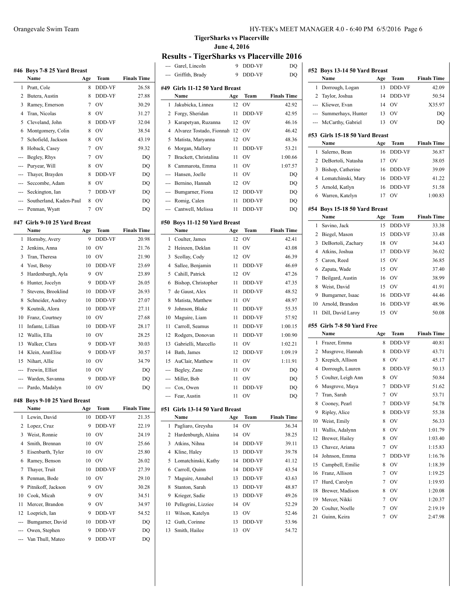|     | #46 Boys 7-8 25 Yard Breast<br>Name | Age            | Team      | <b>Finals Time</b> |
|-----|-------------------------------------|----------------|-----------|--------------------|
| 1   | Pratt, Cole                         | 8              | DDD-VF    | 26.58              |
| 2   | Butera, Austin                      | 8              | DDD-VF    | 27.88              |
| 3   | Ramey, Emerson                      | 7              | <b>OV</b> | 30.29              |
| 4   |                                     | 8              | <b>OV</b> | 31.27              |
|     | Tran, Nicolas                       |                |           |                    |
| 5   | Cleveland, John                     | 8              | DDD-VF    | 32.04              |
| 6   | Montgomery, Colin                   | 8              | <b>OV</b> | 38.54              |
| 7   | Schofield, Jackson                  | 8              | <b>OV</b> | 43.19              |
| 8   | Hoback, Casey                       | $\overline{7}$ | OV        | 59.32              |
| --- | Begley, Rhys                        | 7              | <b>OV</b> | DQ                 |
| --- | Puryear, Will                       | 8              | <b>OV</b> | DQ                 |
| --- | Thayer, Brayden                     | 8              | DDD-VF    | DQ                 |
| --- | Seccombe, Adam                      | 8              | <b>OV</b> | DQ                 |
|     | --- Seckington, Ian                 | 7              | DDD-VF    | DQ                 |
|     | --- Southerland, Kaden-Paul         | 8              | OV        | DQ                 |
|     | --- Penman, Wyatt                   | 7              | OV        | DQ                 |
|     | #47 Girls 9-10 25 Yard Breast       |                |           |                    |
|     | Name                                | Age            | Team      | <b>Finals Time</b> |
| 1   | Hornsby, Avery                      | 9              | DDD-VF    | 20.98              |
| 2   | Jenkins, Anna                       | 10             | <b>OV</b> | 21.76              |
| 3   | Tran, Theresa                       | 10             | OV        | 21.90              |
| 4   | Yost, Betsy                         | 10             | DDD-VF    | 23.69              |
| 5   | Hardenburgh, Ayla                   | 9              | <b>OV</b> | 23.89              |
| 6   | Hunter, Jocelyn                     | 9              | DDD-VF    | 26.05              |
| 7   | Stevens, Brooklind                  | 10             | DDD-VF    | 26.93              |
| 8   | Schneider, Audrey                   | 10             | DDD-VF    | 27.07              |
| 9   | Koutnik, Alora                      | 10             | DDD-VF    | 27.11              |
| 10  | Franz, Courtney                     | 10             | <b>OV</b> | 27.68              |
| 11  | Infante, Lillian                    | 10             | DDD-VF    | 28.17              |
| 12  | Wallis, Ella                        | 10             | <b>OV</b> | 28.25              |
| 13  | Walker, Clara                       | 9              | DDD-VF    | 30.03              |
| 14  | Klein, AnnElise                     | 9              | DDD-VF    | 30.57              |
| 15  | Nihart, Allie                       | 10             | <b>OV</b> | 34.79              |
| --- | Frewin, Elliot                      | 10             | <b>OV</b> | DQ                 |
|     | --- Warden, Savanna                 | 9              | DDD-VF    | DQ                 |
| --- | Pardo, Madalyn                      | 10             | <b>OV</b> | DQ                 |
|     |                                     |                |           |                    |
| #48 | Boys 9-10 25 Yard Breast            |                |           |                    |
|     | Name                                | Age            | Team      | <b>Finals Time</b> |
| 1   | Lewin, David                        | 10             | DDD-VF    | 21.35              |
| 2   | Lopez, Cruz                         | 9              | DDD-VF    | 22.19              |
| 3   | Weist, Ronnie                       | 10             | OV        | 24.19              |
| 4   | Smith, Brennan                      | 10             | OV        | 25.66              |
| 5   | Eisenbarth, Tyler                   | 10             | OV        | 25.80              |
| 6   | Ramey, Benson                       | 10             | OV        | 26.02              |
| 7   | Thayer, Truit                       | $10\,$         | DDD-VF    | 27.39              |
| 8   | Penman, Bode                        | 10             | OV        | 29.10              |
| 9   | Pitnikoff, Jackson                  | 9              | OV        | 30.28              |
| 10  | Cook, Micah                         | 9              | OV        | 34.51              |
| 11  | Mercer, Brandon                     | 9              | OV        | 34.97              |
| 12  | Loeprich, Ian                       | 9              | DDD-VF    | 54.52              |

--- Bumgarner, David 10 DDD-VF DQ --- Owen, Stephen 9 DDD-VF DQ --- Van Thull, Mateo 9 DDD-VF DQ

**TigerSharks vs Placerville June 4, 2016**

 $\overline{a}$ 

 $\overline{a}$ 

 $\overline{a}$ 

# **Results - TigerSharks vs Placerville 2016**

|     | Garel, Lincoln                           | 9         | DDD-VF        | DQ                 |
|-----|------------------------------------------|-----------|---------------|--------------------|
|     | Griffith, Brady                          | 9         | DDD-VF        | DQ                 |
|     | #49 Girls 11-12 50 Yard Breast<br>Name   |           | Team          | <b>Finals Time</b> |
| 1   | Jakubicka, Linnea                        | Age<br>12 | ov            | 42.92              |
| 2   |                                          | 11        |               |                    |
|     | Forgy, Sheridan                          |           | DDD-VF        | 42.95              |
| 3   | Karapetyan, Ruzanna                      | 12        | OV            | 46.16              |
| 4   | Alvarez Tostado, Fionnah                 | 12        | OV            | 46.42              |
| 5   | Matista, Maryanna                        | 12        | OV            | 48.36              |
| 6   | Morgan, Mallory                          | 11        | DDD-VF        | 53.21              |
| 7   | Brackett, Christalina                    | 11        | OV            | 1:00.66            |
| 8   | Cammarota, Emma                          | 11        | OV            | 1:07.57            |
| --- | Hansen, Joelle                           | 11        | OV            | DQ                 |
| --- | Bernino, Hannah                          | 12        | OV            | DQ                 |
| --- | Bumgarner, Fiona                         | 12        | DDD-VF        | DQ                 |
|     | --- Romig, Calen                         | 11        | DDD-VF        | DQ                 |
| --- | Cantwell, Melissa                        | 11        | DDD-VF        | DQ                 |
| #50 | <b>Boys 11-12 50 Yard Breast</b><br>Name |           | Team          | <b>Finals Time</b> |
| 1   | Coulter, James                           | Age<br>12 | OV            | 42.41              |
| 2   | Heinzen, Deklan                          | 11        | OV            |                    |
| 3   |                                          | 12        |               | 43.08              |
|     | Scollay, Cody                            |           | OV            | 46.39              |
| 4   | Sallee, Benjamin                         | 11        | <b>DDD-VF</b> | 46.69              |
| 5   | Cahill, Patrick                          | 12        | OV            | 47.26              |
| 6   | Bishop, Christopher                      | 11        | DDD-VF        | 47.35              |
| 7   | de Gaust, Alex                           | 11        | DDD-VF        | 48.52              |
| 8   | Matista, Matthew                         | 11        | OV            | 48.97              |
| 9   | Johnson, Blake                           | 11        | DDD-VF        | 55.35              |
| 10  | Maguire, Liam                            | 11        | DDD-VF        | 57.92              |
| 11  | Carroll, Seamus                          | 11        | DDD-VF        | 1:00.15            |
| 12  | Rodgers, Donovan                         | 11        | DDD-VF        | 1:00.90            |
| 13  | Gabrielli, Marcello                      | 11        | OV            | 1:02.21            |
| 14  | Bath, James                              | 12        | DDD-VF        | 1:09.19            |
| 15  | AuClair, Matthew                         | 11        | OV            | 1:11.91            |
| --- | Begley, Zane                             | 11        | OV            | DQ                 |
| --- | Miller, Bob                              | 11        | OV            | DQ                 |
| --- | Cox, Owen                                | 11        | DDD-VF        | DQ                 |
| --- | Fear, Austin                             | 11        | OV            | DQ                 |
| #51 | Girls 13-14 50 Yard Breast               |           |               |                    |
|     | Name                                     | Age       | Team          | <b>Finals Time</b> |
| 1   | Pagliaro, Greysha                        | 14        | OV            | 36.34              |
| 2   | Hardenburgh, Alaina                      | 14        | OV            | 38.25              |
| 3   | Atkins, Nihna                            | 14        | DDD-VF        | 39.11              |
| 4   | Kline, Haley                             | 13        | DDD-VF        | 39.78              |
| 5   | Lomatchinski, Kathy                      | 14        | DDD-VF        | 41.12              |
| 6   | Carroll, Quinn                           | 14        | DDD-VF        | 43.54              |
| 7   | Maguire, Annabel                         | 13        | DDD-VF        | 43.63              |
| 8   | Stanton, Sarah                           | 13        | DDD-VF        | 48.87              |
| 9   | Krieger, Sadie                           | 13        | DDD-VF        | 49.26              |
| 10  | Pellegrini, Lizziee                      | 14        | OV            | 52.29              |
| 11  | Wilson, Katelyn                          | 13        | OV            | 52.46              |
| 12  | Guth, Corinne                            | 13        | DDD-VF        | 53.96              |
| 13  | Smith, Hailee                            | 13        | OV            | 54.72              |
|     |                                          |           |               |                    |

| #52 | <b>Boys 13-14 50 Yard Breast</b> |     |              |                    |
|-----|----------------------------------|-----|--------------|--------------------|
|     | Name                             | Age | Team         | <b>Finals Time</b> |
| 1   | Dorrough, Logan                  | 13  | DDD-VF       | 42.09              |
| 2   | Taylor, Joshua                   | 14  | DDD-VF       | 50.54              |
| --- | Kliewer, Evan                    | 14  | OV           | X35.97             |
| --- | Summerhays, Hunter               | 13  | OV           | DQ                 |
| --- | McCarthy, Gabriel                | 13  | OV           | DQ                 |
|     |                                  |     |              |                    |
|     | #53  Girls 15-18 50 Yard Breast  |     |              |                    |
|     | Name                             | Age | Team         | <b>Finals Time</b> |
| 1   | Salerno, Bean                    | 16  | DDD-VF       | 36.87              |
| 2   | DeBortoli, Natasha               | 17  | OV           | 38.05              |
| 3   | Bishop, Catherine                | 16  | DDD-VF       | 39.09              |
| 4   | Lomatchinski, Mary               | 16  | DDD-VF       | 41.22              |
| 5   | Arnold, Katlyn                   | 16  | DDD-VF       | 51.58              |
| 6   | Warren, Katelyn                  | 17  | OV           | 1:00.83            |
| #54 | Boys 15-18 50 Yard Breast        |     |              |                    |
|     | Name                             | Age | Team         | <b>Finals Time</b> |
| 1   | Savino, Jack                     | 15  | DDD-VF       | 33.38              |
| 2   | Biegel, Mason                    | 15  | DDD-VF       | 33.48              |
| 3   | DeBortoli, Zachary               | 18  | OV           | 34.43              |
|     |                                  |     |              |                    |
| 4   | Atkins, Joshua                   | 17  | DDD-VF<br>OV | 36.02              |
| 5   | Caron, Reed                      | 15  |              | 36.85              |
| 6   | Zapata, Wade                     | 15  | OV           | 37.40              |
| 7   | Beilgard, Austin                 | 16  | OV           | 38.99              |
| 8   | Weist, David                     | 15  | OV           | 41.91              |
| 9   | Bumgarner, Isaac                 | 16  | DDD-VF       | 44.46              |
| 10  | Arnold, Brandon                  | 16  | DDD-VF       | 48.96              |
| 11  | Dill, David Laroy                | 15  | OV           | 50.08              |
|     | #55 Girls 7-8 50 Yard Free       |     |              |                    |
|     | Name                             | Age | Team         | <b>Finals Time</b> |
| 1   | Frazer, Emma                     | 8   | DDD-VF       | 40.81              |
| 2   | Musgrove, Hannah                 | 8   | DDD-VF       | 43.71              |
| 3   | Krepich, Allison                 | 8   | OV           | 45.17              |
| 4   | Dorrough, Lauren                 | 8   | DDD-VF       | 50.13              |
| 5   | Coulter, Leigh Ann               | 8   | OV           | 50.84              |
| 6   | Musgrove, Maya                   | 7   | DDD-VF       | 51.62              |
| 7   | Tran, Sarah                      | 7   | OV           | 53.71              |
| 8   | Cooney, Pearl                    | 7   | DDD-VF       | 54.78              |
| 9   | Ripley, Alice                    | 8   | DDD-VF       | 55.38              |
| 10  | Weist, Emily                     | 8   | OV           | 56.33              |
| 11  | Wallis, Adalynn                  | 8   | OV           | 1:01.79            |
| 12  | Brewer, Hailey                   | 8   | OV           | 1:03.40            |
| 13  | Chavez. Ariana                   | 7   | OV           | 1:15.83            |
| 14  | Johnson, Emma                    | 7   | DDD-VF       | 1:16.76            |
| 15  | Campbell, Emilie                 | 8   | OV           | 1:18.39            |
| 16  | Franz, Allison                   | 7   | OV           | 1:19.25            |
| 17  | Hurd, Carolyn                    | 7   | OV           | 1:19.93            |
|     |                                  |     |              |                    |
| 18  | Brewer, Madison                  | 8   | OV           | 1:20.08            |
| 19  | Mercer, Nikki                    | 7   | OV           | 1:20.37            |
| 20  | Coulter, Noelle                  | 7   | OV           | 2:19.19            |
| 21  | Guinn, Keira                     | 7   | OV           | 2:47.98            |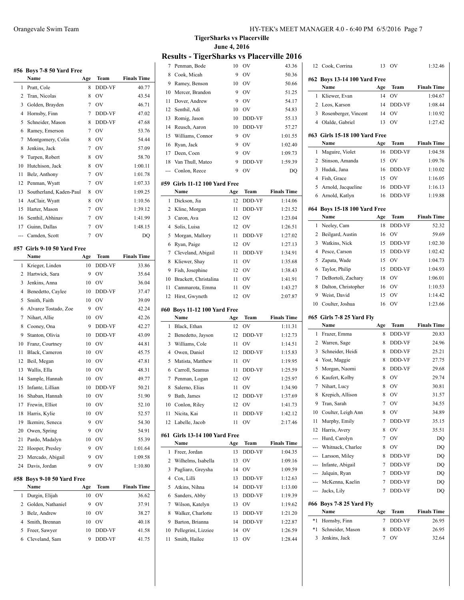|     | #56 Boys 7-8 50 Yard Free<br>Name | Age | Team        | <b>Finals Time</b> |
|-----|-----------------------------------|-----|-------------|--------------------|
| 1   | Pratt, Cole                       | 8   | DDD-VF      | 40.77              |
| 2   | Tran, Nicolas                     | 8   | OV          | 43.54              |
| 3   | Golden, Brayden                   | 7   | OV          | 46.71              |
| 4   | Hornsby, Finn                     | 7   | DDD-VF      | 47.02              |
| 5   | Schneider, Mason                  | 8   | DDD-VF      | 47.68              |
| 6   | Ramey, Emerson                    | 7   | <b>OV</b>   | 53.76              |
| 7   | Montgomery, Colin                 | 8   | <b>OV</b>   | 54.44              |
| 8   | Jenkins, Jack                     | 7   | <b>OV</b>   | 57.09              |
| 9   | Turpen, Robert                    | 8   | OV          | 58.70              |
| 10  | Hutchison, Jack                   | 8   | <b>OV</b>   | 1:00.11            |
| 11  | Belz, Anthony                     | 7   | <b>OV</b>   | 1:01.78            |
| 12  | Penman, Wyatt                     | 7   | <b>OV</b>   | 1:07.33            |
| 13  | Southerland, Kaden-Paul           | 8   | <b>OV</b>   | 1:09.25            |
| 14  | AuClair, Wyatt                    | 8   | <b>OV</b>   | 1:10.56            |
| 15  | Harter, Mason                     | 7   | <b>OV</b>   | 1:39.12            |
| 16  | Senthil, Abhinav                  | 7   | <b>OV</b>   | 1:41.99            |
|     | 17 Guinn, Dallas                  | 7   | OV          | 1:48.15            |
|     | Camden, Scott                     | 7   | OV          |                    |
| --- |                                   |     |             | DQ                 |
| #57 | Girls 9-10 50 Yard Free           |     |             |                    |
|     | Name                              | Age | Team        | <b>Finals Time</b> |
| 1   | Krieger, Linden                   | 10  | DDD-VF      | 33.86              |
| 2   | Hartwick, Sara                    | 9   | OV          | 35.64              |
| 3   | Jenkins, Anna                     | 10  | <b>OV</b>   | 36.04              |
| 4   | Benedetto, Caylee                 | 10  | DDD-VF      | 37.47              |
| 5   | Smith, Faith                      | 10  | <b>OV</b>   | 39.09              |
| 6   | Alvarez Tostado, Zoe              | 9   | <b>OV</b>   | 42.24              |
| 7   | Nihart, Allie                     | 10  | <b>OV</b>   | 42.26              |
| 8   | Cooney, Ona                       | 9   | DDD-VF      | 42.27              |
| 9   | Stanton, Olivia                   | 10  | DDD-VF      | 43.09              |
| 10  | Franz, Courtney                   | 10  | <b>OV</b>   | 44.81              |
| 11  | Black, Cameron                    | 10  | <b>OV</b>   | 45.75              |
| 12  | Beil, Megan                       | 10  | OV          | 47.81              |
| 13  | Wallis, Ella                      | 10  | OV          | 48.31              |
| 14  | Sample, Hannah                    | 10  | <b>OV</b>   | 49.77              |
| 15  | Infante, Lillian                  | 10  | DDD-VF      | 50.21              |
| 16  | Shaban, Hannah                    | 10  | OV          | 51.90              |
| 17  | Frewin, Elliot                    | 10  | OV          | 52.10              |
| 18  | Harris, Kylie                     | 10  | OV          | 52.57              |
| 19  | Ikemire, Seneca                   | 9   | OV          | 54.30              |
| 20  | Owen, Spring                      | 9   | OV          | 54.91              |
| 21  | Pardo, Madalyn                    | 10  | OV          | 55.39              |
| 22  | Hooper, Presley                   | 9   | OV          | 1:01.64            |
| 23  | Mercado, Abigail                  | 9   | OV          | 1:09.58            |
| 24  | Davis, Jordan                     | 9   | OV          | 1:10.80            |
|     |                                   |     |             |                    |
| #58 | Boys 9-10 50 Yard Free<br>Name    | Age | <b>Team</b> | <b>Finals Time</b> |
|     |                                   |     |             |                    |
| 1   | Durgin, Elijah                    | 10  | OV          | 36.62              |
| 2   | Golden, Nathaniel                 | 9   | OV          | 37.91              |
| 3   | Belz, Andrew                      | 10  | OV          | 38.27              |
| 4   | Smith, Brennan                    | 10  | OV          | 40.18              |
| 5   | Freer, Sawyer                     | 10  | DDD-VF      | 41.58              |
| 6   | Cleveland, Sam                    | 9   | DDD-VF      | 41.75              |

**TigerSharks vs Placerville June 4, 2016**

## **Results - TigerSharks vs Placerville 2016**

| 7              | Penman, Bode                         | 10       | OV            | 43.36              |
|----------------|--------------------------------------|----------|---------------|--------------------|
| 8              | Cook, Micah                          | 9        | <b>OV</b>     | 50.36              |
| 9              | Ramey, Benson                        | 10       | <b>OV</b>     | 50.66              |
| 10             | Mercer, Brandon                      | 9        | OV            | 51.25              |
| 11             | Dover, Andrew                        | 9        | OV            | 54.17              |
| 12             | Senthil, Adi                         | 10       | <b>OV</b>     | 54.83              |
| 13             | Romig, Jason                         | 10       | DDD-VF        | 55.13              |
| 14             | Reusch, Aaron                        | 10       | DDD-VF        | 57.27              |
| 15             | Williams, Connor                     | 9        | OV            | 1:01.55            |
| 16             | Ryan, Jack                           | 9        | OV            | 1:02.40            |
| 17             | Deen, Coen                           | 9        | OV            | 1:09.73            |
| 18             | Van Thull, Mateo                     | 9        | DDD-VF        | 1:59.39            |
| ---            | Conlon, Reece                        | 9        | OV            | DO                 |
| #59            | Girls 11-12 100 Yard Free            |          |               |                    |
|                | Name                                 | Age      | Team          | <b>Finals Time</b> |
| 1              | Dickson, Jia                         | 12       | DDD-VF        | 1:14.06            |
| 2              | Kline, Morgan                        | 11       | DDD-VF        | 1:21.52            |
| 3              | Caron, Ava                           | 12       | OV            | 1:23.04            |
| $\overline{4}$ | Solis, Luisa                         | 12       | OV            | 1:26.51            |
| 5              | Morgan, Mallory                      | 11       | DDD-VF        | 1:27.02            |
| 6              | Ryan, Paige                          | 12       | OV            | 1:27.13            |
| 7              | Cleveland, Abigail                   | 11       | DDD-VF        | 1:34.91            |
| 8              | Kliewer, Shay                        | 11       | <b>OV</b>     | 1:35.68            |
| 9              | Fish, Josephine                      | 12       | <b>OV</b>     | 1:38.43            |
| 10             | Brackett, Christalina                | 11       | <b>OV</b>     | 1:41.91            |
| 11             | Cammarota, Emma                      | 11       | OV            | 1:43.27            |
| 12             | Hirst, Gwyneth                       | 12       | OV            | 2:07.87            |
|                |                                      |          |               |                    |
|                |                                      |          |               |                    |
| #60            | <b>Boys 11-12 100 Yard Free</b>      |          |               |                    |
|                | Name                                 | Age      | Team          | <b>Finals Time</b> |
| 1              | Black, Ethan                         | 12       | OV            | 1:11.31            |
| 2              | Benedetto, Jayson                    | 12       | DDD-VF        | 1:12.73            |
| 3              | Williams, Cole                       | 11       | <b>OV</b>     | 1:14.51            |
| 4              | Owen, Daniel                         | 12       | DDD-VF        | 1:15.83            |
| 5              | Matista, Matthew                     | 11       | <b>OV</b>     | 1:19.95            |
| 6              | Carroll, Seamus                      | 11       | DDD-VF        | 1:25.59            |
| 7              | Penman, Logan                        | 12       | <b>OV</b>     | 1:25.97            |
| 8              | Salerno, Elias                       | 11       | OV            | 1:34.90            |
| 9              | Bath, James                          | 12       | <b>DDD-VF</b> | 1:37.69            |
| 10             | Conlon, Riley                        | 12       | OV            | 1:41.73            |
| 11             | Nicita, Kai                          | 11       | DDD-VF        | 1:42.12            |
| 12             | Labelle, Jacob                       | 11       | OV            | 2:17.46            |
| #61            | <b>Girls 13-14 100 Yard Free</b>     |          |               |                    |
|                | Name                                 | Age      | Team          | <b>Finals Time</b> |
| 1              | Freer, Jordan                        | 13       | DDD-VF        | 1:04.35            |
| 2              | Wilhelms, Isabella                   | 13       | OV            | 1:09.16            |
| 3              | Pagliaro, Greysha                    | 14       | OV            | 1:09.59            |
| 4              | Cox, Lilli                           | 13       | DDD-VF        | 1:12.63            |
| 5              | Atkins, Nihna                        | 14       | DDD-VF        | 1:13.00            |
| 6              | Sanders, Abby                        | 13       | DDD-VF        | 1:19.39            |
| 7              | Wilson, Katelyn                      | 13       | OV            | 1:19.62            |
| 8              | Walker, Charlotte                    | 13       | DDD-VF        | 1:21.20            |
| 9              | Barton, Brianna                      | 14       | DDD-VF        | 1:22.87            |
| 10<br>11       | Pellegrini, Lizziee<br>Smith, Hailee | 14<br>13 | OV<br>OV      | 1:26.59<br>1:28.44 |

 $\frac{1}{2}$ 

 $\sim$ 

| 12    | Cook, Corrina                 | 13  | OV             | 1:32.46            |
|-------|-------------------------------|-----|----------------|--------------------|
|       | #62 Boys 13-14 100 Yard Free  |     |                |                    |
|       | Name                          | Age | Team           | <b>Finals Time</b> |
| 1     | Kliewer, Evan                 | 14  | OV             | 1:04.67            |
| 2     | Leos, Karson                  | 14  | DDD-VF         | 1:08.44            |
| 3     | Rosenberger, Vincent          | 14  | OV             | 1:10.92            |
| 4     | Olalde, Gabriel               | 13  | OV             | 1:27.42            |
|       | #63 Girls 15-18 100 Yard Free |     |                |                    |
|       | Name                          | Age | Team           | <b>Finals Time</b> |
| 1     | Maguire, Violet               | 16  | <b>DDD-VF</b>  | 1:04.58            |
| 2     | Stinson, Amanda               | 15  | O <sub>V</sub> | 1:09.76            |
| 3     | Hudak, Jana                   | 16  | DDD-VF         | 1:10.02            |
| 4     | Fish, Grace                   | 15  | OV             | 1:16.05            |
| 5     | Arnold, Jacqueline            | 16  | DDD-VF         | 1:16.13            |
| 6     | Arnold, Katlyn                | 16  | DDD-VF         | 1:19.88            |
|       | #64 Boys 15-18 100 Yard Free  |     |                |                    |
|       | Name                          | Age | Team           | <b>Finals Time</b> |
| 1     | Neeley, Cam                   | 18  | DDD-VF         | 52.32              |
| 2     | Beilgard, Austin              | 16  | OV             | 59.69              |
| 3     | Watkins, Nick                 | 15  | DDD-VF         | 1:02.30            |
| 4     | Pesce, Carson                 | 15  | DDD-VF         | 1:02.42            |
| 5     | Zapata, Wade                  | 15  | OV             | 1:04.73            |
| 6     | Taylor, Philip                | 15  | DDD-VF         | 1:04.93            |
| 7     | DeBortoli, Zachary            | 18  | OV             | 1:06.01            |
| 8     | Dalton, Christopher           | 16  | OV             | 1:10.53            |
| 9     | Weist, David                  | 15  | OV             | 1:14.42            |
| 10    | Coulter, Joshua               | 16  | OV             | 1:23.66            |
|       | #65 Girls 7-8 25 Yard Fly     |     |                |                    |
|       | Name                          | Age | Team           | <b>Finals Time</b> |
| 1     | Frazer, Emma                  | 8   | DDD-VF         | 20.83              |
| 2     | Warren, Sage                  | 8   | DDD-VF         | 24.96              |
| 3     | Schneider, Heidi              | 8   | DDD-VF         | 25.21              |
| 4     | Yost, Maggie                  | 8   | DDD-VF         | 27.75              |
| 5     | Morgan, Naomi                 | 8   | DDD-VF         | 29.68              |
| 6     | Kaufert, Kolby                | 8   | OV             | 29.74              |
| 7     | Nihart, Lucy                  | 8   | OV             | 30.81              |
| 8     | Krepich, Allison              | 8   | OV             | 31.57              |
| 9     | Tran, Sarah                   | 7   | ov             | 34.55              |
| 10    | Coulter, Leigh Ann            | 8   | ov             | 34.89              |
| 11    | Murphy, Emily                 | 7   | DDD-VF         | 35.15              |
| 12    | Harris, Avery                 | 8   | OV             | 35.51              |
| ---   | Hurd, Carolyn                 | 7   | OV             | DQ                 |
| ---   | Whitnack, Charlee             | 8   | OV             | DQ                 |
|       | --- Larsson, Miley            | 8   | DDD-VF         | DQ                 |
| $---$ | Infante, Abigail              | 7   | DDD-VF         | DQ                 |
| ---   | Jalquin, Ryan                 | 7   | DDD-VF         | DQ                 |
|       | --- McKenna, Kaelin           | 7   | DDD-VF         | DQ                 |
|       | --- Jacks, Lily               | 7   | DDD-VF         | DQ                 |
|       | #66 Boys 7-8 25 Yard Fly      |     |                |                    |
|       | Name                          | Age | Team           | <b>Finals Time</b> |
| $*1$  | Hornsby, Finn                 | 7   | DDD-VF         | 26.95              |
| *1    | Schneider, Mason              | 8   | DDD-VF         | 26.95              |
| 3     | Jenkins, Jack                 | 7   | ov             | 32.64              |
|       |                               |     |                |                    |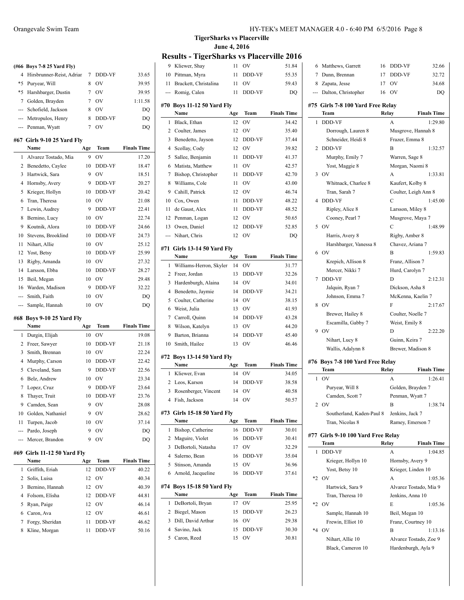| (#66 Boys 7-8 25 Yard Fly)  |   |
|-----------------------------|---|
| 4 Hirsbrunner-Reist, Adriar | 7 |
| *5 Puryear, Will            | 8 |
| *5 Harchbarger Ductin       |   |

| *5 Harshbarger, Dustin | - OV   | 39.95   |
|------------------------|--------|---------|
| 7 Golden, Brayden      | 7 OV   | 1:11.58 |
| --- Schofield, Jackson | – OV   | DO      |
| --- Metropulos, Henry  | DDD-VF | DO      |
| --- Penman, Wyatt      | OV     | DO.     |

4 Hirsbrunner-Reist, Adrian 7 DDD-VF 33.65 OV 39.95

#### **#67 Girls 9-10 25 Yard Fly**

|                | Name                 | Age | Team          | <b>Finals Time</b> |
|----------------|----------------------|-----|---------------|--------------------|
| 1              | Alvarez Tostado, Mia | 9   | <b>OV</b>     | 17.20              |
| $\mathfrak{D}$ | Benedetto, Caylee    | 10  | <b>DDD-VF</b> | 18.47              |
| 3              | Hartwick, Sara       | 9   | OV            | 18.51              |
| 4              | Hornsby, Avery       | 9   | DDD-VF        | 20.27              |
| 5              | Krieger, Hollyn      | 10  | <b>DDD-VF</b> | 20.42              |
| 6              | Tran, Theresa        | 10  | OV            | 21.08              |
| 7              | Lewin, Audrey        | 9   | DDD-VF        | 22.41              |
| 8              | Bernino, Lucy        | 10  | OV            | 22.74              |
| 9              | Koutnik, Alora       | 10  | <b>DDD-VF</b> | 24.66              |
| 10             | Stevens, Brooklind   | 10  | DDD-VF        | 24.73              |
| 11             | Nihart, Allie        | 10  | OV            | 25.12              |
| 12             | Yost, Betsy          | 10  | <b>DDD-VF</b> | 25.99              |
| 13             | Rigby, Amanda        | 10  | OV            | 27.32              |
| 14             | Larsson, Ebba        | 10  | <b>DDD-VF</b> | 28.27              |
| 15             | Beil, Megan          | 10  | OV            | 29.48              |
| 16             | Warden, Madison      | 9   | DDD-VF        | 32.22              |
| ---            | Smith, Faith         | 10  | OV            | DQ                 |
| ---            | Sample, Hannah       | 10  | OV            | DQ                 |

### **#68 Boys 9-10 25 Yard Fly**

|    | Name                | Age | Team           | <b>Finals Time</b> |
|----|---------------------|-----|----------------|--------------------|
|    | 1 Durgin, Elijah    | 10  | OV             | 19.08              |
| 2  | Freer, Sawyer       | 10  | <b>DDD-VF</b>  | 21.18              |
| 3  | Smith, Brennan      | 10  | OV             | 22.24              |
|    | 4 Murphy, Carson    | 10  | <b>DDD-VF</b>  | 22.42              |
|    | 5 Cleveland, Sam    | 9   | <b>DDD-VF</b>  | 22.56              |
| 6  | Belz, Andrew        | 10  | OV             | 23.34              |
| 7  | Lopez, Cruz         | 9   | <b>DDD-VF</b>  | 23.64              |
| 8  | Thaver, Truit       | 10  | <b>DDD-VF</b>  | 23.76              |
| 9  | Camden, Sean        | 9   | O <sub>V</sub> | 28.08              |
| 10 | Golden, Nathaniel   | 9   | OV             | 28.62              |
| 11 | Turpen, Jacob       | 10  | OV             | 37.14              |
|    | --- Pardo, Joseph   | 9   | OV             | DQ                 |
|    | --- Mercer, Brandon | 9   | OV             | DQ                 |

### **#69 Girls 11-12 50 Yard Fly**

| Name                  | Age             | Team           | <b>Finals Time</b>           |
|-----------------------|-----------------|----------------|------------------------------|
| Griffith, Eriah<br>1. | 12              | <b>DDD-VF</b>  | 40.22                        |
| 2 Solis, Luisa        |                 |                | 40.34                        |
| 3 Bernino, Hannah     |                 | O <sub>V</sub> | 40.39                        |
| 4 Folsom, Elisha      |                 |                | 44.81                        |
| 5 Ryan, Paige         | 12              | O <sub>V</sub> | 46.14                        |
| 6 Caron, Ava          | 12 <sub>1</sub> | $_{\rm OV}$    | 46.61                        |
| 7 Forgy, Sheridan     | 11              | <b>DDD-VF</b>  | 46.62                        |
| Kline, Morgan         | 11              | <b>DDD-VF</b>  | 50.16                        |
|                       |                 |                | 12 OV<br>$12 -$<br>12 DDD-VF |

**TigerSharks vs Placerville June 4, 2016**

### **Results - TigerSharks vs Placerville 2016**

| 9              | Kliewer, Shay                 | 11  | OV            | 51.84              |
|----------------|-------------------------------|-----|---------------|--------------------|
| 10             | Pittman, Myra                 | 11  | DDD-VF        | 55.35              |
| 11             | Brackett, Christalina         | 11  | OV            | 59.43              |
| ---            | Romig, Calen                  | 11  | DDD-VF        | DQ                 |
|                |                               |     |               |                    |
|                | #70 Boys 11-12 50 Yard Fly    |     |               |                    |
|                | Name                          | Age | Team          | <b>Finals Time</b> |
| 1              | Black, Ethan                  | 12  | OV            | 34.42              |
| 2              | Coulter, James                | 12  | OV            | 35.40              |
| 3              | Benedetto, Jayson             | 12  | DDD-VF        | 37.44              |
| $\overline{4}$ | Scollay, Cody                 | 12  | OV            | 39.82              |
| 5              | Sallee, Benjamin              | 11  | DDD-VF        | 41.37              |
| 6              | Matista, Matthew              | 11  | OV            | 42.57              |
| 7              | Bishop, Christopher           | 11  | DDD-VF        | 42.70              |
| 8              | Williams, Cole                | 11  | OV            | 43.00              |
| 9              | Cahill, Patrick               | 12  | OV            | 46.74              |
| 10             | Cox, Owen                     | 11  | DDD-VF        | 48.22              |
| 11             | de Gaust, Alex                | 11  | DDD-VF        | 48.52              |
| 12             | Penman, Logan                 | 12  | OV            | 50.65              |
| 13             | Owen, Daniel                  | 12  | DDD-VF        | 52.85              |
| ---            | Nihart, Chris                 | 12  | OV            | DQ                 |
|                | #71 Girls 13-14 50 Yard Fly   |     |               |                    |
|                | Name                          | Age | Team          | <b>Finals Time</b> |
| 1              | Williams-Herron, Skyler       | 14  | OV            | 31.77              |
| 2              | Freer, Jordan                 | 13  | DDD-VF        | 32.26              |
| 3              | Hardenburgh, Alaina           | 14  | OV            | 34.01              |
| 4              | Benedetto, Jaymie             | 14  | DDD-VF        | 34.21              |
| 5              | Coulter, Catherine            | 14  | OV            | 38.15              |
| 6              | Weist, Julia                  | 13  | OV            | 41.93              |
| 7              | Carroll, Quinn                | 14  | DDD-VF        | 43.28              |
| 8              | Wilson, Katelyn               | 13  | OV            | 44.20              |
| 9              | Barton, Brianna               | 14  | <b>DDD-VF</b> | 45.40              |
| 10             | Smith, Hailee                 | 13  | OV            | 46.46              |
|                | #72 Boys 13-14 50 Yard Fly    |     |               |                    |
|                | Name                          | Age | Team          | <b>Finals Time</b> |
| 1              | Kliewer, Evan                 | 14  | OV            | 34.05              |
| 2              | Leos, Karson                  | 14  | DDD-VF        | 38.58              |
| 3              | Rosenberger, Vincent          | 14  | OV            | 40.58              |
| 4              | Fish, Jackson                 |     | 14 OV         | 50.57              |
|                |                               |     |               |                    |
|                | #73  Girls 15-18 50 Yard Fly  |     |               |                    |
|                | Name                          | Age | Team          | <b>Finals Time</b> |
| 1              | Bishop, Catherine             | 16  | DDD-VF        | 30.01              |
| 2              | Maguire, Violet               | 16  | DDD-VF        | 30.41              |
| 3              | DeBortoli, Natasha            | 17  | OV            | 32.29              |
| 4              | Salerno, Bean                 | 16  | DDD-VF        | 35.04              |
| 5              | Stinson, Amanda               | 15  | OV            | 36.96              |
| 6              | Arnold, Jacqueline            | 16  | DDD-VF        | 37.61              |
| #74            | <b>Boys 15-18 50 Yard Fly</b> |     |               |                    |
|                | Name                          | Age | Team          | <b>Finals Time</b> |
| 1              | DeBortoli, Bryan              | 17  | OV            | 25.95              |
| 2              | Biegel, Mason                 | 15  | DDD-VF        | 26.23              |
| 3              | Dill, David Arthur            | 16  | OV            | 29.38              |
| 4              | Savino, Jack                  | 15  | DDD-VF        | 30.30              |
| 5              | Caron, Reed                   | 15  | OV            | 30.81              |
|                |                               |     |               |                    |

| 6 Matthews, Garrett     | 16 DDD-VF | 32.66 |
|-------------------------|-----------|-------|
| 7 Dunn, Brennan         | 17 DDD-VF | 32.72 |
| 8 Zapata, Jesse         | 17 OV     | 34.68 |
| --- Dalton, Christopher | 16 OV     | DO.   |

## **#75 Girls 7-8 100 Yard Free Relay**

|      | Team                                | Relay                | <b>Finals Time</b>     |
|------|-------------------------------------|----------------------|------------------------|
| 1    | DDD-VF                              | А                    | 1:29.80                |
|      | Dorrough, Lauren 8                  | Musgrove, Hannah 8   |                        |
|      | Schneider, Heidi 8                  | Frazer, Emma 8       |                        |
| 2    | <b>DDD-VF</b>                       | B                    | 1:32.57                |
|      | Murphy, Emily 7                     | Warren, Sage 8       |                        |
|      | Yost, Maggie 8                      | Morgan, Naomi 8      |                        |
| 3    | OV                                  | A                    | 1:33.81                |
|      | Whitnack, Charlee 8                 | Kaufert, Kolby 8     |                        |
|      | Tran, Sarah 7                       | Coulter, Leigh Ann 8 |                        |
| 4    | <b>DDD-VF</b>                       | С                    | 1:45.00                |
|      | Ripley, Alice 8                     | Larsson, Miley 8     |                        |
|      | Cooney, Pearl 7                     | Musgrove, Maya 7     |                        |
| 5    | <b>OV</b>                           | С                    | 1:48.99                |
|      | Harris, Avery 8                     | Rigby, Amber 8       |                        |
|      | Harshbarger, Vanessa 8              | Chavez, Ariana 7     |                        |
| 6    | OV                                  | B                    | 1:59.83                |
|      | Krepich, Allison 8                  | Franz, Allison 7     |                        |
|      | Mercer, Nikki 7                     | Hurd, Carolyn 7      |                        |
| 7    | DDD-VF                              | D                    | 2:12.31                |
|      | Jalquin, Ryan 7                     | Dickson, Asha 8      |                        |
|      | Johnson, Emma 7                     | McKenna, Kaelin 7    |                        |
| 8    | OV                                  | F                    | 2:17.67                |
|      | Brewer, Hailey 8                    | Coulter, Noelle 7    |                        |
|      | Escamilla, Gabby 7                  | Weist, Emily 8       |                        |
| 9    | OV                                  | D                    | 2:22.20                |
|      | Nihart, Lucy 8                      | Guinn, Keira 7       |                        |
|      | Wallis, Adalynn 8                   | Brewer, Madison 8    |                        |
|      | #76 Boys 7-8 100 Yard Free Relay    |                      |                        |
|      | Team                                | Relay                | <b>Finals Time</b>     |
| 1    | OV                                  | A                    | 1:26.41                |
|      | Puryear, Will 8                     | Golden, Brayden 7    |                        |
|      | Camden, Scott 7                     | Penman, Wyatt 7      |                        |
| 2    | OV                                  | B                    | 1:38.74                |
|      | Southerland, Kaden-Paul 8           | Jenkins, Jack 7      |                        |
|      | Tran, Nicolas 8                     | Ramey, Emerson 7     |                        |
|      | #77  Girls 9-10 100 Yard Free Relay |                      |                        |
|      | Team                                | Relay                | <b>Finals Time</b>     |
| 1    | DDD-VF                              | А                    | 1:04.85                |
|      | Krieger, Hollyn 10                  | Hornsby, Avery 9     |                        |
|      | Yost, Betsy 10                      | Krieger, Linden 10   |                        |
| *2   | <b>OV</b>                           | A                    | 1:05.36                |
|      | Hartwick, Sara 9                    |                      | Alvarez Tostado, Mia 9 |
|      | Tran, Theresa 10                    | Jenkins, Anna 10     |                        |
| *2   | <b>OV</b>                           | E                    | 1:05.36                |
|      | Sample, Hannah 10                   | Beil, Megan 10       |                        |
|      | Frewin, Elliot 10                   | Franz, Courtney 10   |                        |
| $*4$ |                                     |                      |                        |
|      | <b>OV</b>                           | B                    | 1:13.16                |
|      | Nihart, Allie 10                    |                      | Alvarez Tostado, Zoe 9 |
|      | Black, Cameron 10                   | Hardenburgh, Ayla 9  |                        |